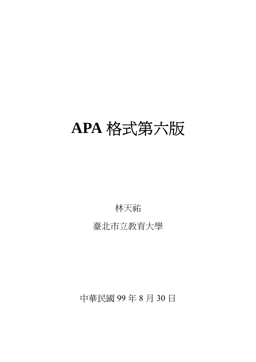# **APA** 格式第六版

林天祐

臺北市立教育大學

中華民國 99 年 8 月 30 日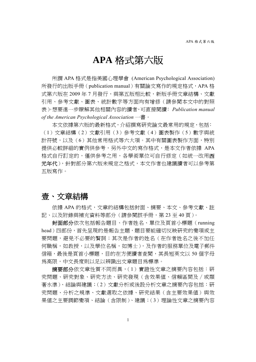# **APA** 格式第六版

所謂 APA 格式是指美國心理學會 (American Psychological Association) 所發行的出版手冊 (publication manual) 有關論文寫作的規定格式, APA 格 式第六版在 2009年7月發行,與第五版相比較,新版手冊文章結構、文獻 引用、參考文獻、圖表、統計數字等方面均有增修(請參閱本文中的對照 表)。想要進一步瞭解其他相關內容的讀者,可直接閱讀﹕*Publication manual of the American Psychological Association* 一書。

本文依據第六版的最新格式,介紹撰寫研究論文最常用的規定,包括: (1)文章結構(2)文獻引用(3)參考文獻(4)圖表製作(5)數字與統 計符號,以及(6)其他常用格式等六大項。其中有關圖表製作方面,特別 提供必較詳細的實例供參考,另外中文的寫作格式,是本文作者依據 APA 格式自行訂定的,僅供參考之用,各學術單位可自行修定(如統一改用西 元年代), 針對部分第六版未規定之格式, 本文作者也建議讀者可以參考第 五版寫作。

# 壹、文章結構

依據 APA 的格式,文章的結構包括封面、摘要、本文、參考文獻、註 記、以及附錄與補充資料等部分(請參閱該手冊,第23至40頁)。

封面部分依次包括報告題目、作者姓名、單位及頁首小標題(running head)四部份, 首先呈現的是報告主題, 題目要能確切反映研究的變項或主 要問題,避免不必要的贅詞;其次是作者的姓名(在作者姓名之後不加任 何職稱,如教授,以及學位名稱,如博士),及作者的服務單位及電子郵件 信箱,最後是頁首小標題,目的在方便讀者查閱,其長短英文以 50 個字母 為高限,中文長度則以足以辨識出文章題目為標準。

**摘要部分**依文章性質不同而異,(1)實證性文章之摘要內容包括:硏 究問題、研究對象、研究方法、研究發現(含效果值、信賴區間及∕或顯 著水準)、結論與建議;(2)文獻分析或後設分析文章之摘要內容包括:研 究問題、分析之規準、文獻選取之依據、研究結果(含主要效果值)與效 果值之主要調節變項、結論(含限制)、建議;(3)理論性文章之摘要內容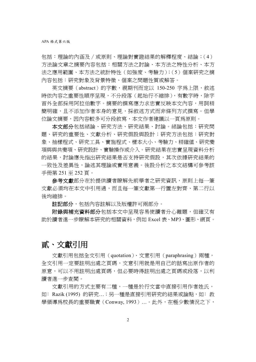包括:理論的內涵及∕或原則、理論對實證結果的解釋程度、結論;(4) 方法論文章之摘要內容包括:相關方法之討論、本方法之特性分析、本方 法之應用範圍、本方法之統計特性(如強度、考驗力);(5)個案研究之摘 內容包括:研究對象及背景特徵、個案之問題性質或解答。

英文摘要(abstract)的字數,視期刊而定以 150-250 字為上限,敘述 時依內容之重要性順序呈現,不分段落(起始行不縮排),有數字時,除字 首外全部採用阿拉伯數字。摘要的撰寫應力求忠實反映本文內容,用詞精 簡明確,且不添加作者本身的意見,採敘述方式而非條列方式撰寫。但學 位論文摘要,因內容較多可分段敘寫,本文作者建議以一頁為原則。

本文部分包括緒論、研究方法、研究結果、討論。緒論包括:研究問 題、研究的重要性、文獻分析、研究假設與設計;研究方法包括:研究對 象、抽樣程式、研究工具、實施程式、樣本大小、考驗力、精確值、研究變 項與與共變項、研究設計、實驗操作或介入。研究結果在忠實呈現資料分析 的結果,討論應先指出研究結果是否支持研究假設,其次依據研究結果的 一致性及差異性,論述其理論或實用意義。後設分析之本文結構可參考該 手冊第 251 至 252 頁。

**參考文獻**部分在於提供讀者瞭解先前學者之硏究資訊,原則上每一筆 文獻必須均在本文中引用過,而且每一筆文獻第一行置左對齊、第二行以 後均縮排。

註記部分,包括內容註解以及版權許可兩部分。

**附錄與補充資料部分**包括本文中呈現容易使讀者分心離題,但確又有 助於讀者進一步瞭解本研究的相關資料,例如 Excel 表、MP3、圖形、網頁。

# 貳、文獻引用

文獻引用包括全文引用(quotation)、文意引用(paraphrasing)兩種, 全文引用一定要註明出處之頁碼,文意引用就是用自己的話寫出原作者的 原意,可以不用註明出處頁碼,但必要時得註明出處之頁碼或段落,以利 讀者進一步查閱。

文獻引用的方式主要有二種,一種是於行文當中直接引用作者姓氏, 如: Razik (1995) 的研究...; 另一種是直接引用研究的結果或論點, 如: 教 學領導為校長的重要職責 (Conway, 1993) ...。此外,在極少數情況之下,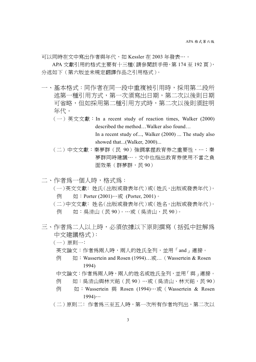可以同時在文中寫出作者與年代,如 Kessler 在 2003 年發表⋯。

APA 文獻引用的格式主要有十三種(請參閱該手冊,第 174 至 192 頁), 分述如下(第六版並未規定翻譯作品之引用格式)。

- 一、基本格式:同作者在同一段中重複被引用時,採用第二段所 述第一種引用方式,第一次須寫出日期,第二次以後則日期 可省略,但如採用第二種引用方式時,第二次以後則須註明 年代。
	- $(-)$  英文文獻: In a recent study of reaction times, Walker (2000) described the method…Walker also found… In a recent study of..., Walker (2000) ... The study also showed that...(Walker, 2000)...
	- (二)中文文獻:秦夢群(民 90)強調掌握教育券之重要性,⋯;秦 夢群同時建議⋯。文中也指出教育券使用不當之負 面效果(群夢群,民90)
- 二、作者為一個人時,格式為: (一)英文文獻﹕姓氏(出版或發表年代)或(姓氏,出版或發表年代)。 例 如: Porter (2001)…或 (Porter, 2001)。 (二)中文文獻﹕姓名(出版或發表年代)或(姓名,出版或發表年代)。 例 如:吳清山(民90)。…或(吳清山,民90)。
- 三、作者為二人以上時,必須依據以下原則撰寫(括弧中註解為 中文建議格式):

(一)原則一﹕

英文論文:作者為兩人時,兩人的姓氏全列,並用「and」連接。

- 例 如:Wassertein and Rosen (1994)…或…(Wassertein & Rosen 1994)
- 中文論文:作者為兩人時,兩人的姓名或姓氏全列,並用「與」連接。
- 例 如:吳清山與林天祐(民90)…或(吳清山、林天祐,民90)
- 例 如: Wassertein 與 Rosen (1994)…或(Wassertein & Rosen  $1994)...$
- (二)原則二﹕作者為三至五人時,第一次所有作者均列出,第二次以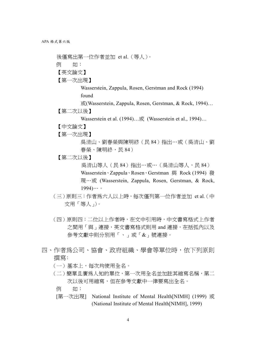後僅寫出第一位作者並加 et al.(等人)。 例 如: 【英文論文】 【第一次出現】

> Wasserstein, Zappula, Rosen, Gerstman and Rock (1994) found

或(Wasserstein, Zappula, Rosen, Gerstman, & Rock, 1994)…

【第二次以後】

Wasserstein et al. (1994)…或 (Wasserstein et al., 1994)…

- 【中文論文】
- 【第一次出現】

吳清山、劉春榮與陳明終(民 84)指出⋯或(吳清山、劉 春榮、陳明終,民 84)

【第二次以後】

吳清山等人(民 84)指出…或…(吳清山等人,民 84) Wasserstein、Zappula、Rosen、Gerstman 與 Rock (1994) 發 現⋯或 (Wasserstein, Zappula, Rosen, Gerstman, & Rock,  $1994)...$ 

- (三)原則三:作者為六人以上時,每次僅列第一位作者並加 et al*.*(中 文用「等人」)。
- (四)原則四:二位以上作者時,在文中引用時,中文書寫格式上作者 之間用「與」連接,英文書寫格式則用 and 連接,在括弧內以及 參考文獻中則分別用「、」或「&」號連接。
- 四、作者爲公司、協會、政府組織、學會等單位時,依下列原則 撰寫﹕
	- (一)基本上,每次均使用全名。
	- (二)簡單且廣為人知的單位,第一次用全名並加註其縮寫名稱,第二 次以後可用縮寫,但在參考文獻中一律要寫出全名。
		- 例 如:
	- [第一次出現] National Institute of Mental Health[NIMH] (1999) 或 (National Institute of Mental Health[NIMH], 1999)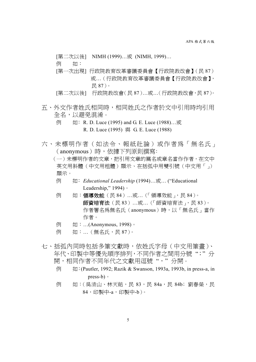[第二次以後] NIMH (1999)…或 (NIMH, 1999)…

例 如:

- [第一次出現] 行政院教育改革審議委員會【行政院教改會】(民 87) 或…(行政院教育改革審議委員會【行政院教改會】, 民 87)。
- [第二次以後] 行政院教改會(民 87)…或…(行政院教改會,民 87)。
- 五、外文作者姓氏相同時,相同姓氏之作者於文中引用時均引用 全名,以避免混淆。
	- 例 如: R. D. Luce (1995) and G. E. Luce (1988)…或 R. D. Luce (1995) 與 G. E. Luce (1988)
- 六、未標明作者(如法令、報紙社論)或作者為「無名氏」 (anonymous)時,依據下列原則撰寫﹕

(一)未標明作者的文章,把引用文章的篇名或章名當作作者,在文中 英文用斜體(中文用粗體)顯示、在括弧中用雙引號(中文用「」) 顯示。

- 例 如﹕*Educational Leadership* (1994)…或… ("Educational Leadership," 1994)。
- 例 如: 領導效能 (民 84) …或… (「領導效能」, 民 84)。 師資培育法(民 83)…或…(「師資培育法」,民 83)。 作者署名為無名氏(anonymous)時,以「無名氏」當作 作者。
- 例 如:...(Anonymous, 1998)。
- 例 如:... (無名氏,民 87)。
- 七、括弧內同時包括多筆文獻時,依姓氏字母(中文用筆畫)、 年代、印製中等優先順序排列,不同作者之間用分號 ";" 分 開,相同作者不同年代之文獻用逗號","分開。
	- 例 如: (Pautler, 1992; Razik & Swanson, 1993a, 1993b, in press-a, in press-b)。
	- 例 如: (吳清山、林天祐,民 83,民 84a,民 84b;劉春榮,民 84,印製中-a,印製中-b)。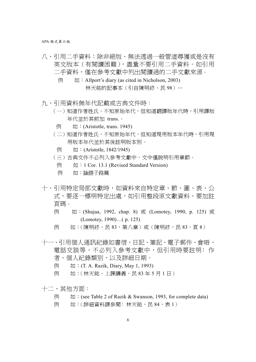APA 格式第六版

- 八、引用二手資料:除非絕版、無法透過一般管道尋獲或是沒有 英文版本(有閱讀困難),盡量不要引用二手資料。如引用 二手資料,僅在參考文獻中列出閱讀過的二手文獻來源。
	- $\boxed{\varphi}$   $\boxed{\psi}$  : Allport's diary (as cited in Nicholson, 2003) 林天祐的記事本(引自陳明終,民98)…
- 九、引用資料無年代記載或古典文件時:
	- (一)知道作者姓氏,不知原始年代,但知道翻譯版年代時,引用譯版 年代並於其前加 trans.。
	- **例 如:(Aristotle, trans. 1945)**
	- (二)知道作者姓氏,不知原始年代,但知道現用版本年代時,引用現 用版本年代並於其後註明版本別。
	- 例 如: (Aristotle, 1842/1945)
	- (三)古典文件不必列入參考文獻中,文中僅說明引用章節。
		- 例 如: 1 Cor. 13.1 (Revised Standard Version)
		- 例 如:論語子路篇
- 十、引用特定局部文獻時,如資料來自特定章、節、圖、表、公 式,要涿一標明特定出處,如引用整段原文獻資料,要加註 頁碼。
	- 例 如: (Shujaa, 1992, chap. 8) 或 (Lomotey, 1990, p. 125) 或 (Lomotey, 1990)…( p. 125)
	- 例 如: (陳明終,民 83,第八章)或 (陳明終,民 83,頁 8)
- 十一、引用個人通訊紀錄如書信、日記、筆記、電子郵件、會晤、 電話交談等,不必列入參考文獻中,但引用時要註明﹕作 者、個人紀錄類別、以及詳細日期。
	- 例 如: (T. A. Razik, Diary, May 1, 1993)
	- 例 如:(林天祐,上課講義,民 83 年 5 月 1 日)
- 十二、其他方面:
	- $\overline{\emptyset}$  (see Table 2 of Razik & Swanson, 1993, for complete data)
	- 例 如: (詳細資料請參閱: 林天祐,民 84,表 1)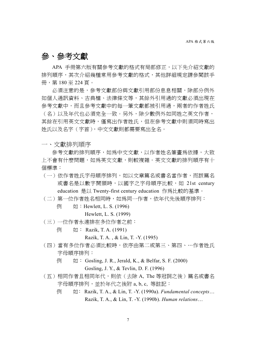# 參、參考文獻

APA 手冊第六版有關參考文獻的格式有局部修正,以下先介紹文獻的 排列順序,其次介紹幾種常用參考文獻的格式,其他詳細規定請參閱該手 冊,第 180 至 224 頁。

必須注意的是,參考文獻部份與文獻引用部份息息相關,除部分例外 如個人通訊資料、古典檔、法律條文等,其餘外引用過的文獻必須出現在 參考文獻中,而且參考文獻中的每一筆文獻都被引用過,兩者的作者姓氏 (名)以及年代也必須完全一致。另外,除少數例外如同姓之英文作者, 其餘在引用英文文獻時,僅寫出作者姓氏,但在參考文獻中則須同時寫出 姓氏以及名字(字首),中文文獻則都需要寫出全名。

一、文獻排列順序

參考文獻的排列順序,如爲中文文獻,以作者姓名筆書爲依據,大致 上不會有什麼問題,如為英文文獻,則較複雜。英文文獻的排列順序有十 個標準:

- (一)依作者姓氏字母順序排列,如以文章篇名或書名當作者,而該篇名 或書名是以數字開頭時,以國字之字母順序比較,如 21st century education 是以 Twenty-first century education 作為比較的基準。
- (二)第一位作者姓名相同時,如為同一作者,依年代先後順序排列:
	- 例 如: Hewlett, L. S. (1996)

Hewlett, L. S. (1999)

- (三)一位作者永遠排在多位作者之前:
	- 例 如: Razik, T. A. (1991)

Razik, T. A. , & Lin, T. -Y. (1995)

- (四)當有多位作者必須比較時,依序由第二或第三、第四、⋯作者姓氏 字母順序排列:
	- $\boxed{\varphi}$   $\boxed{\psi}$  : Gosling, J. R., Jerald, K., & Belfar, S. F. (2000)

Gosling, J. Y., & Tevlin, D. F. (1996)

- (五)相同作者且相同年代,則依(去除 A, The 等冠詞之後)篇名或書名 字母順序排列,並於年代之後附 a, b, c, 等註記:
	- 例 如: Razik, T. A., & Lin, T. -Y. (1990a). *Fundamental concepts*… Razik, T. A., & Lin, T. -Y. (1990b). *Human relations*…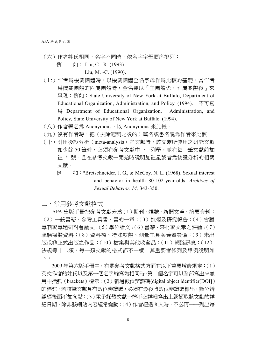- (六)作者姓氏相同,名字不同時,依名字字母順序排列:
	- 例 如: Liu, C. -R. (1993).
		- Liu, M. -C. (1990).
- (七)作者為機關團體時,以機關團體全名字母作為比較的基礎,當作者 為機關團體的附屬團體時,全名要以「主團體先,附屬團體後」來 呈現:例如:State University of New York at Buffalo, Department of Educational Organization, Administration, and Policy. (1994). 不可寫 為 Department of Educational Organization, Administration, and Policy, State University of New York at Buffalo. (1994).
- (八)作者署名為 Anonymous,以 Anonymous 來比較。
- (九)沒有作者時,把(去除冠詞之後的)篇名或書名視為作者來比較。
- (十)引用後設分析(meta-analysis)之文獻時,該文獻所使用之研究文獻 如少餘 50 筆時,必須在參考文獻中一一列舉,並在每一筆文獻前加 註 \* 號,且在參考文獻一開始時說明加註星號者為後設分析的相關 文獻:
	- $\overline{\emptyset}$   $\overline{\emptyset}$  : \*Bretschneider, J. G., & McCoy. N. L. (1968). Sexual interest and behavior in health 80-102-year-olds. *Archives of Sexual Behavior, 14,* 343-350.

二、常用參考文獻格式

APA 出版手冊把參考文獻分為(1)期刊、雜誌、新聞文章、摘要資料; (2)一般書籍、參考工具書、書的一章;(3)技術及研究報告;(4)會議 專刊或專題研討會論文;(5)學位論文;(6)書籍、媒材或文章之評論;(7) 視聽媒體資料;(8) 資料檔、特殊軟體、測量工具與儀器設備;(9) 未出 版或非正式出版之作品;(10)檔案與其他收藏品;(11)網路訊息;(12) 法規等十二類,每一類文獻的格式都不一樣,其重要者條列及舉例說明如 下。

2009 年第六版手冊中,有關參考文獻格式方面有以下重要增修規定:(1) 英文作者的姓氏以及第一個名字縮寫均相同時,第二個名字可以全部寫出來並 用中括弧(brackets)標示;(2)新增數位辨識碼(digital object identifier[DOI]) 的標註,若該筆文獻具有數位辨識碼,必須在最後將數位辨識碼標出,數位辨 識碼後面不加句點;(3)電子媒體文獻一律不必詳細寫出上網擷取該文獻的詳 細日期,除非該網站內容經常變動;(4)作者超過 8 人時,不必再一一列出每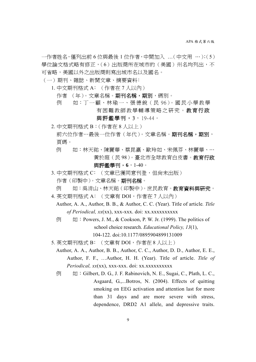一作者姓名,僅列出前 6 位與最後 1 位作者,中間加入 …(中文用 ⋯);(5) 學位論文格式略有修正,(6)出版商所在城市的(美國)州名均列出,不 可省略,美國以外之出版商則寫出城市名以及國名。

- (一)期刊、雜誌、新聞文章、摘要資料﹕
	- 1. 中文期刊格式 A﹕(作者在 7 人以內)
		- 作者 (年)。文章名稱。**期刊名稱,期別**,碼別。
		- 例 如: 丁一顧、林瑜一、張德銳 (民 96)。國民小學教學 有困難教師教學輔導策略之研究。教育行政

與評鑑學刊,3,19-44。

2. 中文期刊格式 B:(作者在 8 人以上)

- 前六位作者…最後一位作者(年代)。文章名稱。期刊名稱,期別, 頁碼。
- 例 如:林天祐、陳麗華、蔡昆瀛、歐玲如、宋佩芬、林麗華、… 黃於庭(民 98)。臺北市全球教育白皮書。教育行政 與評鑑學刊,**6**,1-40。
- 3. 中文期刊格式 C: (文章已獲同意刊登, 但尚未出版) 作者(印製中)。文章名稱。期刊名稱。
- 例 如:吳清山、林天祐(印製中)。庶民教育。**教育資料與研究**。
- 4. 英文期刊格式 A:( 文章有 DOI,作者在 7 人以內 ) Author, A. A., Author, B. B., & Author, C. C. (Year). Title of article*. Title*

*of Periodical, xx*(xx), xxx-xxx. doi: xx.xxxxxxxxxx

- $\overline{\emptyset}$  : Powers, J. M., & Cookson, P. W. Jr. (1999). The politics of school choice research. *Educational Policy, 13*(1), 104-122. doi:10.1177/0895904899131009
- 5. 英文期刊格式 B: (文章有 DOI, 作者在 8 人以上)
	- Author, A. A., Author, B. B., Author, C. C., Author, D. D., Author, E. E., Author, F. F., …Author, H. H. (Year). Title of article. *Title of Periodical, xx*(xx), xxx-xxx. doi: xx.xxxxxxxxxx
	- $\overline{\emptyset}$   $\overline{\emptyset}$  : Gilbert, D. G., J. F. Rabinovich, N. E., Sugai, C., Plath, L. C., Asgaard, G.,...Botros, N. (2004). Effects of quitting smoking on EEG activation and attention last for more than 31 days and are more severe with stress, dependence, DRD2 A1 allele, and depressive traits.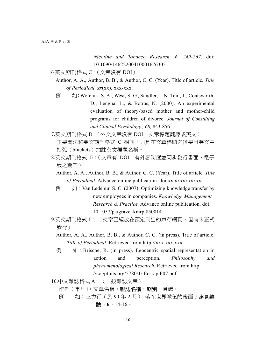*Nicotine and Tobacco Research, 6, 249-267*. doi: 10.1090/14622200410001676305

- 6 英文期刊格式 C:(文章沒有 DOI)
	- Author, A. A., Author, B. B., & Author, C. C. (Year). Title of article*. Title of Periodical, xx*(xx), xxx-xxx.
	- $\overline{\emptyset}$   $\overline{\emptyset}$  : Wolchik, S. A., West, S. G., Sandler, I. N. Tein, J., Coatsworth, D., Lengua, L., & Botros, N. (2000). An experimental evaluation of theory-based mother and mother-child programs for children of divorce. *Journal of Consulting and Clinical Psychology , 68,* 843-856.
- 7.英文期刊格式 D:(外文文章沒有 DOI、文章標題翻譯成英文) 主要寫法和英文期刊格式 C 相同,只是在文章標題之後要用英文中 括弧(brackets)加註英文標題名稱。
- 8.英文期刊格式 E:(文章有 DOI,有外審制度並同步發行書面、電子 版之期刊)
	- Author, A. A., Author, B. B., & Author, C. C. (Year). Title of article*. Title of Periodical.* Advance online publication. doi:xx.xxxxxxxxxx
	- $\overline{\emptyset}$   $\overline{\emptyset}$  : Van Ledebur, S. C. (2007). Optimizing knowledge transfer by new employees in companies. *Knowledge Management Research & Practice.* Advance online publication. doi: 10.1057/paigrave. kmrp.8500141
- 9.英文期刊格式 F: (文章已經放在預定刊出的庫存網頁,但尚未正式 發行)
	- Author, A. A., Author, B. B., & Author, C. C. (in press). Title of article. *Title of Periodical*. Retrieved from http://xxx.xxx.xxx
	- 例 如:Briscoe, R. (in press). Egocentric spatial representation in action and perception. *Philosophy and phenomenological Research*. Retrieved from http:

//cogptints.org/5780/1/ Ecsrap.F07.pdf

10.中文雜誌格式 A﹕(一般雜誌文章)

作者(年月)。文章名稱。雜誌名稱,期別,頁碼。

例 如:王力行 (民 90年2月)。落在世界隊伍的後面?遠見雜 誌,**6**,14-16。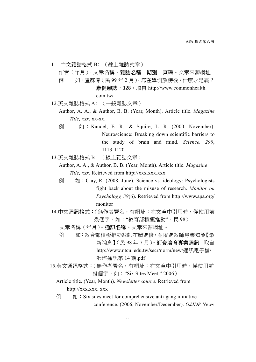- 11. 中文雜誌格式 B﹕(線上雜誌文章) 作者 (年月)。文章名稱。雜誌名稱, 期別, 頁碼。文章來源網址 例 如: 盧蘇偉 (民 99年2月)。寫在學測放榜後,什麼才是贏? 康健雜誌,**128**。取自 http://www.commonhealth. com.tw/
- 12.英文雜誌格式 A﹕(一般雜誌文章)
	- Author, A. A., & Author, B. B. (Year, Month). Article title. *Magazine Title, xxx*, xx-xx.
	- 例 如 : Kandel, E. R., & Squire, L. R. (2000, November). Neuroscience: Breaking down scientific barriers to the study of brain and mind. *Science, 290*, 1113-1120.
- 13.英文雜誌格式 B﹕(線上雜誌文章)
	- Author, A. A., & Author, B. B. (Year, Month). Article title. *Magazine Title, xxx*. Retrieved from http://xxx.xxx.xxx
	- $\overline{\emptyset}$  ( $\overline{\emptyset}$  : Clay, R. (2008, June). Science vs. ideology: Psychologists fight back about the misuse of research. *Monitor on Psychology, 39*(6). Retrieved from http://www.apa.org/ monitor
- 14.中文通訊格式:(無作者署名,有網址;在文章中引用時,僅使用前 幾個字,如:"教育部積極推動",民 98)
	- 文章名稱(年月)。通訊名稱。文章來源網址。
	- 例 如:教育部積極推動教師在職進修,並增進教師專業知能【最 新消息】(民98年7月)。師資培育專業通訊。取自 http://www.ntcu. edu.tw/secr/norm/new/通訊電子檔/ 師培通訊第 14 期.pdf
- 15.英文通訊格式:(無作者署名,有網址;在文章中引用時,僅使用前 幾個字,如: "Six Sites Meet," 2006)
	- Article title. (Year, Month). *Newsletter source*. Retrieved from http://xxx.xxx. xxx
	- $\overline{\emptyset}$   $\overline{\emptyset}$  : Six sites meet for comprehensive anti-gang initiative conference. (2006, November/December). *OJJDP News*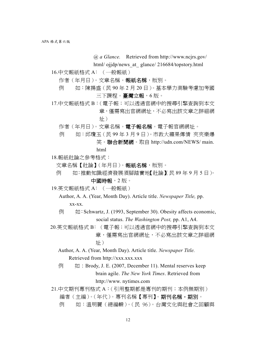*@ a Glance.* Retrieved from http://www.ncjrs.gov/

- html/ ojjdp/news\_at\_ glance/ 216684/topstory.html
- 16.中文報紙格式 A﹕(一般報紙)

作者(年月日)。文章名稱。報紙名稱,版別。

- 例 如:陳揚盛(民 90 年 2 月 20 日)。基本學力測驗考慮加考國 三下課程。臺灣立報,6 版。
- 17.中文報紙格式 B: ( 雷子報; 可以诱過官網中的搜尋引擎杳詢到本文 章,僅需寫出官網網址,不必寫出該文章之詳細網 址)

作者(年月日)。文章名稱。電子報名稱。電子報官網網址。

- 例 如:邱瓊玉(民 99 年 3 月 9 日)。市教大蘋果傳情 夾夾樂爆 笑。聯合新聞網。取自 http://udn.com/NEWS/ main.
- 18.報紙社論之參考格式:

文章名稱【社論】(年月日)。報紙名稱,版別。

html

- 例 如:推動知識經濟發展須腳踏實地【社論】(民 89年9月5日)。 中國時報,2 版。
- 19.英文報紙格式 A﹕(一般報紙)

Author, A. A. (Year, Month Day). Article title. *Newspaper Title,* pp. xx-xx.

- 例 如:Schwartz, J. (1993, September 30). Obesity affects economic, social status. *The Washington Post,* pp. A1, A4.
- 20.英文報紙格式 B﹕(電子報;可以透過官網中的搜尋引擎查詢到本文 章,僅需寫出官網網址,不必寫出該文章之詳細網 址)
	- Author, A. A. (Year, Month Day). Article title. *Newspaper Title.* Retrieved from http://xxx.xxx.xxx
	- $\overline{\emptyset}$  ( $\overline{\emptyset}$  : Brody, J. E. (2007, December 11). Mental reserves keep brain agile. *The New York Times*. Retrieved from http://www. nytimes.com
- 21.中文期刊專刊格式 A:(引用整期都是專刊的期刊;本例無期別)

編者 (主編)。(年代)。專刊名稱【專刊】。期刊名稱,期別。

例 如:溫明麗 (總編輯)。(民 96)。台灣文化與社會之回顧與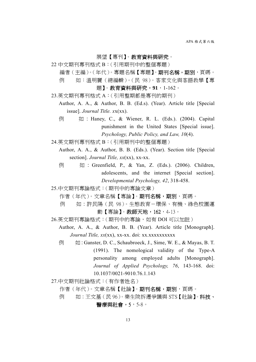展望【專刊】。教育資料與研究。

- 22 中文期刊專刊格式 B:(引用期刊中的整個專題)
	- 編者 (主編)。(年代)。專題名稱 【專題】。期刊名稱, 期別, 頁碼。 例 如:溫明麗(總編輯)。(民 98)。客家文化與客語教學【專

題】。教育資料與研究,**91**,1-162。

- 23.英文期刊專刊格式 A:(引用整期都是專刊的期刊)
	- Author, A. A., & Author, B. B. (Ed.s). (Year). Article title [Special issue]. *Journal Title. x*x(xx).
	- 例 如 : Haney, C., & Wiener, R. L. (Eds.). (2004). Capital punishment in the United States [Special issue]. *Psychology, Public Policy, and Law, 10*(4).
- 24.英文期刊專刊格式 B:(引用期刊中的整個專題)
	- Author, A. A., & Author, B. B. (Eds.). (Year). Section title [Special section]. *Journal Title, xx*(xx), xx-xx.
	- 例 如 : Greenfield, P., & Yan, Z. (Eds.). (2006). Children, adolescents, and the internet [Special section]. *Developmental Psychology, 42*, 318-458.

25.中文期刊專論格式:(期刊中的專論文章)

- 作者(年代)。文章名稱【專論】。期刊名稱,期別, 百碼。
- 例 如:許民陽 (民 98)。生態教育-環保、有機、綠色校園運 動【專論】。教師天地,162,4-13。
- 26.英文期刊專論格式: (期刊中的專論,如有 DOI 可以加註)
	- Author, A. A., & Author, B. B. (Year). Article title [Monograph]. *Journal Title, xx*(xx), xx-xx. doi: xx.xxxxxxxxxx
		- 例 如:Ganster, D. C., Schaubroeck, J., Sime, W. E., & Mayas, B. T. (1991). The nomological validity of the Type-A personality among employed adults [Monograph]. *Journal of Applied Psychology, 76*, 143-168. doi: 10.1037/0021-9010.76.1.143
- 27.中文期刊社論格式:(有作者姓名)

作者(年代)。文章名稱【社論】。期刊名稱,期別,頁碼。

例 如:王文基(民 96)。樂生院拆遷爭議與 STS【社論】。科技、

## 醫療與社會,5,5-8。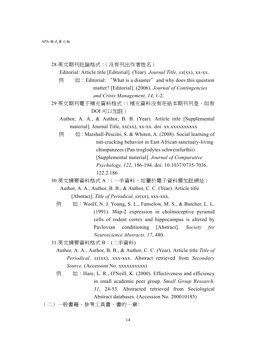- 28.英文期刊社論格式:(沒有刊出作者姓名)
	- Editorial: Article title [Editorial]. (Year). *Journal Title, xx*(xx), xx-xx.
	- $\overline{\emptyset}$   $\overline{\emptyset}$  : Editorial: "What is a disaster" and why does this question matter? [Editorial]. (2006). *Journal of Contingencies and Crisis Management, 14*, 1-2.
- 29 英文期刊電子補充資料格式: (補充資料沒有在紙本期刊刊登, 如有 DOI 可以加註)
	- Author, A. A., & Author, B. B. (Year). Article title [Supplemental material]. Journal Title, xx(xx), xx-xx. doi: xx.xxxxxxxxxx
	- $\overline{\emptyset}$   $\overline{\emptyset}$  : Marshall-Pescini, S. & Whiten, A. (2008). Social learning of nut-cracking behavior in East African sanctuary-living chimpanzees (Pan troglodytes schweinfurthii) [Supplemental material]. *Journal of Comparative Psychology, 122*, 186-194. doi: 10.1037/0735-7036. 122.2.186
- 30.英文摘要資料格式 A:( 一手資料,如屬於電子資料需加註網址 )
	- Author, A. A., Author, B. B., & Author, C. C. (Year). Article title [Abstract]. *Title of Periodical, xx*(xx), xxx-xxx.
	- $\overline{\emptyset}$  = 如: Woolf, N. J. Young, S. L., Fanselow, M. S., & Butcher, L. L. (1991). Map-2 expression in cholinoceptive pyramid cells of rodent cortex and hippocampus is altered by Pavlovian conditioning [Abstract]. *Society for Neuroscience Abstracts, 17*, 480.
- 31.英文摘要資料格式 B:(二手資料)
	- Author, A. A., Author, B. B., & Author, C. C. (Year). Article title *Title of Periodical, xx*(xx), xxx-xxx. Abstract retrieved from *Secondary Source*. (Accession No. xxxxxxxxxx)
	- $\overline{\emptyset}$   $\overline{\emptyset}$  : Hare, L. R., O'Neill, K. (2000). Effectiveness and efficiency in small academic peer group. *Small Group Research, 31*, 24-53. Abstracted retrieved from Sociological Abstract databases. (Accession No. 200010185)
- (二)一般書籍、參考工具書、書的一章﹕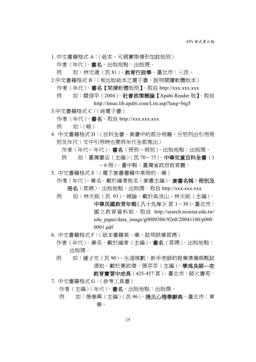- 1. 中文書籍格式 A:(紙本,可視實際情形加註版別) 作者(年代)。書名。出版地點:出版商。 例 如:林文達 ( 民 81 )。**教育行政學**。臺北市:三民。
- 2.中文書籍格式 B:(有出版紙本之電子書,註明閱讀軟體版本) 作者(年代)。 書名【閱讀軟體版別】。取自 http://xxx.xxx.xxx 例 如:關信平(2004)。社會政策概論【Apabi Reader 版】。取自
	- http://tmue.lib.apabi.com/List.asp?lang=big5
- 3.中文書籍格式 C:(純電子書)
	- 作者 (年代)。 書名。 取自 http://xxx.xxx.xxx
	- 例 如:(略)
- 4. 中文書籍格式 D:(百科全書、套書中的部分冊籍,分別列出引用冊 別及年代;文中引用時也要將年代全部寫出)
	- 作者(年代-年代)。書名(冊別-冊別)。出版地點:出版商。
	- 例 如:臺灣書店 (主編) (民 70-75)。中華兒童百科全書 (1 -6 冊)。臺中縣:臺灣省政府教育廳。
- 5. 中文書籍格式 E:(電子套書書籍中某冊的一章)
- 作者 (年代)。章名。載於編者姓名 (套書主編),**套書名稱:冊別及** 冊名(頁碼)。出版地點:出版商。取自 http://xxx.xxx.xxx
- 例 如:林天祐 (民 93)。 總論。載於吳清山、林天祐 (主編),
	- 中華民國教育年報(八十九年)(頁1-30)。臺北市: 國立教育資料館。取自 http://search.nioerar.edu.tw/ edu\_paper/data\_image/g0000306/92n0/20041100/p000 0001.pdf
- 6. 中文書籍格式 F:(紙本書籍某一章,註明該章頁碼)
	- 作者(年代)。章名。載於編者(主編), 書名(頁碼)。出版地點: 出版商。
	- 例 如:鍾才元(民 90)。生涯規劃:新手老師的就業準備與甄試 須知。載於黃政傑、張芬芬(主編),學為良師**—**在
		- 教育實習中成長(425-457 頁)。臺北市:師大書苑。
- 7. 中文書籍格式 G:(參考工具書)
	- 作者(主編)(年代)。書名。出版地點:出版商。
	- 例 如:張春興(主編)(民96)。張氏心理學辭典。臺北市:東 華。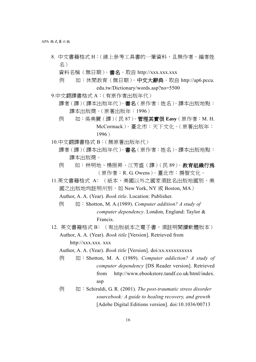APA 格式第六版

8. 中文書籍格式 H:(線上參考工具書的一筆資料,且無作者、編者姓 名)

資料名稱(無日期)。 書名。取自 http://xxx.xxx.xxx

- 例 如:休閒教育(無日期)。中文大辭典。取自 http://ap6.pccu. edu.tw/Dictionary/words.asp?no=5500
- 9.中文翻譯書格式 A:(有原作者出版年代)
	- 譯者(譯)(譯本出版年代)。書名(原作者:姓名)。譯本出版地點: 譯本出版商。(原著出版年:1996)
	- 例 如:吳美麗(譯)(民 87)。管理其實很 **Easy**(原作者:M. H. McCormack)。臺北市:天下文化。(原著出版年: 1996)
- 10.中文翻譯書格式 B:(無原著出版年代)
	- 譯者(譯)(譯本出版年代)。書名(原作者:姓名)。譯本出版地點: 譯本出版商。
	- 例 如:林明地、楊振昇、江芳盛 (譯) (民 89)。 **教育組織行為** (原作者:R. G. Owens)。臺北市:揚智文化。
- 11.英文書籍格式 A﹕(紙本,美國以外之國家須註名出版地國別,美 國之出版地均註明州別,如 New York, NY 或 Boston, MA) Author, A. A. (Year). *Book title*. Location: Publisher.
	- 例 如:Shotton, M. A.(1989). *Computer addition? A study of computer dependency*. London, England: Taylor & Francis.
- 12. 英文書籍格式 B:(有出版紙本之電子書,須註明閱讀軟體版本) Author, A. A. (Year). *Book title* [Version]. Retrieved from http://xxx.xxx. xxx
	- Author, A. A. (Year). *Book title* [Version]. doi:xx.xxxxxxxxxx
	- 例 如:Shotton, M. A. (1989). *Computer addiction? A study of computer dependency* [DS Reader version]. Retrieved from http://www.ebookstore.tandf.co.uk/html/index. asp
	- 例 如:Schiraldi, G. R. (2001). *The post-traumatic stress disorder sourcebook: A guide to healing recovery, and growth* [Adobe Digital Editions version]. doi:10.1036/00713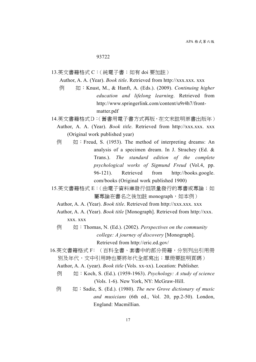#### 93722

- 13.英文書籍格式 C:(純電子書;如有 doi 要加註)
	- Author, A. A. (Year). *Book title*. Retrieved from http://xxx.xxx. xxx
	- 例 如:Knust, M., & Hanft, A. (Eds.). (2009). *Continuing higher education and lifelong learning*. Retrieved from http://www.springerlink.com/content/u9r4h7/frontmatter.pdf
- 14.英文書籍格式D:(舊書用電子書方式再版,在文末註明原書出版年)
	- Author, A. A. (Year). *Book title*. Retrieved from http://xxx.xxx. xxx (Original work published year)
	- $\overline{\emptyset}$  ( $\overline{\emptyset}$  : Freud, S. (1953). The method of interpreting dreams: An analysis of a specimen dream. In J. Strachey (Ed. & Trans.). *The standard edition of the complete psychological works of Sigmund Freud* (Vol.4, pp. 96-121). Retrieved from http://books.google. com/books (Original work published 1900)
- 15.英文書籍格式 E:(由電子資料庫發行但限量發行的專書或專論;如 屬專論在書名之後加註 monograph, 如本例)
	- Author, A. A. (Year). *Book title*. Retrieved from http://xxx.xxx. xxx
	- Author, A. A. (Year). *Book title* [Monograph]. Retrieved from http://xxx. xxx. xxx
	- 例 如:Thomas, N. (Ed.). (2002). *Perspectives on the community college: A journey of discovery* [Monograph]. Retrieved from http://eric.ed.gov/
- 16.英文書籍格式 F﹕(百科全書、套書中的部分冊籍,分別列出引用冊 別及年代,文中引用時也要將年代全部寫出;單冊要註明頁碼)

- 例 如:Koch, S. (Ed.). (1959-1963). *Psychology: A study of science* (Vols. 1-6). New York, NY: McGraw-Hill.
- 例 如:Sadie, S. (Ed.). (1980). *The new Grove dictionary of music and musicians* (6th ed., Vol. 20, pp.2-50). London, England: Macmillian.

Author, A. A. (year). *Book title* (Vols. xx-xx). Location: Publisher.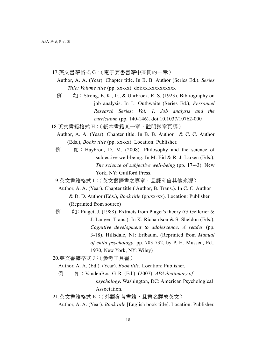17.英文書籍格式 G:(電子套書書籍中某冊的一章)

- Author, A. A. (Year). Chapter title. In B. B. Author (Series Ed.). *Series Title: Volume title* (pp. xx-xx). doi:xx.xxxxxxxxxx
- $\overline{\emptyset}$   $\overline{\emptyset}$  : Strong, E. K., Jr., & Uhrbrock, R. S. (1923). Bibliography on job analysis. In L. Outhwaite (Series Ed.), *Personnel Research Series: Vol. 1. Job analysis and the curriculum* (pp. 140-146). doi:10.1037/10762-000
- 18.英文書籍格式 H:(紙本書籍某一章,註明該章頁碼)
	- Author, A. A. (Year). Chapter title. In B. B. Author & C. C. Author (Eds.), *Books title* (pp. xx-xx). Location: Publisher.
	- $\overline{\emptyset}$   $\overline{\emptyset}$  : Haybron, D. M. (2008). Philosophy and the science of subjective well-being. In M. Eid & R. J. Larsen (Eds.), *The science of subjective well-being* (pp. 17-43). New York, NY: Guilford Press.

19.英文書籍格式 I:(英文翻譯書之專章,且翻印自其他來源)

- Author, A. A. (Year). Chapter title ( Author, B. Trans.). In C. C. Author & D. D. Author (Eds.), *Book title* (pp.xx-xx). Location: Publisher. (Reprinted from source)
- $\overline{\emptyset}$   $\downarrow$   $\uparrow$   $\downarrow$   $\uparrow$  Piaget, J. (1988). Extracts from Piaget's theory (G. Gellerier & J. Langer, Trans.). In K. Richardson & S. Sheldon (Eds.), *Cognitive development to adolescence: A reader* (pp. 3-18). Hillsdale, NJ: Erlbaum. (Reprinted from *Manual of child psychology*, pp. 703-732, by P. H. Mussen, Ed., 1970, New York, NY: Wiley)

20.英文書籍格式 J:(參考工具書)

Author, A. A. (Ed.). (Year). *Book title.* Location: Publisher.

- 例 如:VandenBos, G. R. (Ed.). (2007). *APA dictionary of psychology*. Washington, DC: American Psychological Association.
- 21.英文書籍格式 K:(外語參考書籍,且書名譯成英文) Author, A. A. (Year). *Book title* [English book title]. Location: Publisher.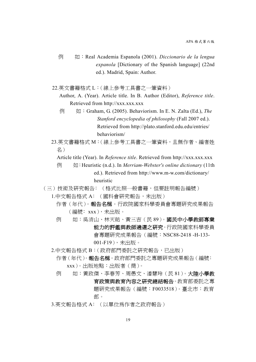例 如:Real Academia Espanola (2001). *Diccionario de la lengua expanola* [Dictionary of the Spanish language] (22nd ed.). Madrid, Spain: Author.

22.英文書籍格式 L:(線上參考工具書之一筆資料)

Author, A. (Year). Article title. In B. Author (Editor), *Reference title*. Retrieved from http://xxx.xxx.xxx

- 例 如:Graham, G. (2005). Behaviorism. In E. N. Zalta (Ed.), *The Stanford encyclopedia of philosophy* (Fall 2007 ed.). Retrieved from http://plato.stanford.edu.edu/entries/ behaviorism/
- 23.英文書籍格式 M:(線上參考工具書之一筆資料,且無作者、編者姓 名)
	- Article title (Year). In *Reference title*. Retrieved from http://xxx.xxx.xxx.
	- 例 如:Heuristic (n.d.). In *Merriam-Webster's online dictionary* (11th ed.). Retrieved from http://www.m-w.com/dictionary/ heuristic
- (三)技術及研究報告﹕(格式比照一般書籍,但要註明報告編號)
	- 1.中文報告格式 A: (國科會研究報告,未出版)
		- 作者 (年代)。**報告名稱**。行政院國家科學委員會專題研究成果報告 (編號﹕xxx),未出版。
		- 例 如:吳清山、林天祐、黃三吉(民 89)。國民中小學教師專業 能力的評鑑與教師遴選之研究。行政院國家科學委員 會專題研究成果報告(編號:NSC88-2418 -H-133- 001-F19),未出版。
	- 2.中文報告格式 B: (政府部門委託之研究報告,已出版)
		- 作者(年代)。報告名稱。政府部門委託之專題研究成果報告(編號: xxx)。出版地點:出版者(商)。
		- 例 如:黃政傑、李春芳、周愚文、潘慧玲 (民 81)。大陸小學教 育政策與教育內容之研究總結報告。教育部委託之專 題研究成果報告(編號:F0033518)。臺北市:教育 部。
	- 3.英文報告格式 A: (以單位為作者之政府報告)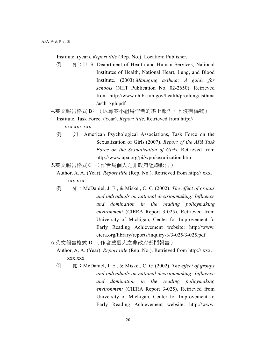Institute. (year). *Report title* (Rep. No.). Location: Publisher.

- $\overline{\emptyset}$   $\overline{\emptyset}$   $\overline{\emptyset}$   $\overline{\emptyset}$  U. S. Deaprtment of Health and Human Services, National Institutes of Health, National Heart, Lung, and Blood Institute. (2003).*Managing asthma: A guide for schools* (NHT Publication No. 02-2650). Retrieved from http://www.nhlbi.nih.gov/health/pro/lung/asthma /asth\_xgh.pdf
- 4.英文報告格式 B:(以專案小組為作者的線上報告, 且沒有編號) Institute, Task Force. (Year). *Report title*. Retrieved from http:// xxx.xxx.xxx
	- **例 如:American Psychological Associations, Task Force on the** Sexualization of Girls.(2007). *Report of the APA Task Force on the Sexualization of Girls*. Retrieved from http://www.apa.org/pi/wpo/sexulization.html

5.英文報告格式C:(作者為個人之非政府組織報告)

Author, A. A. (Year). *Report title* (Rep. No.). Retrieved from http:// xxx. xxx.xxx

例 如:McDaniel, J. E., & Miskel, C. G. (2002). *The effect of groups and individuals on national decisionmaking: Influence and domination in the reading policymaking environment* (CIERA Report 3-025). Retrieved from University of Michigan, Center for Improvement fo Early Reading Achievement website: http://www. ciera.org/library/reports/inquiry-3/3-025/3-025.pdf

6.英文報告格式 D:(作者為個人之非政府部門報告)

Author, A. A. (Year). *Report title* (Rep. No.). Retrieved from http:// xxx. xxx.xxx

例 如:McDaniel, J. E., & Miskel, C. G. (2002). *The effect of groups and individuals on national decisionmaking: Influence and domination in the reading policymaking environment* (CIERA Report 3-025). Retrieved from University of Michigan, Center for Improvement fo Early Reading Achievement website: http://www.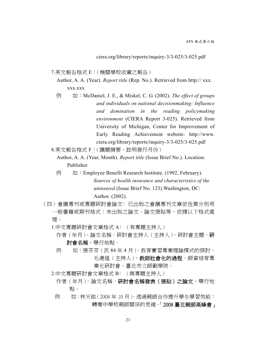ciera.org/library/reports/inquiry-3/3-025/3-025.pdf

7.英文報告格式 E:(機關學校收藏之報告)

Author, A. A. (Year). *Report title* (Rep. No.). Retrieved from http:// xxx. xxx.xxx

- 例 如:McDaniel, J. E., & Miskel, C. G. (2002). *The effect of groups and individuals on national decisionmaking: Influence and domination in the reading policymaking environment* (CIERA Report 3-025). Retrieved from University of Michigan, Center for Improvement of Early Reading Achievement website: http://www. ciera.org/library/reports/inquiry-3/3-025/3-025.pdf
- 8.英文報告格式 F:(議題摘要,註明發行月份)

Author, A. A. (Year, Month). *Report title* (Issue Brief No.). Location: Publisher.

- 例 如: Employee Benefit Research Institute. (1992, February). *Sources of health insurance and characteristics of the uninsured* (Issue Brief No. 123).Washington, DC: Author. (2002).
- (四)會議專刊或專題研討會論文﹕已出版之會議專刊文章依性質分別用 一般書籍或期刊格式;未出版之論文、論文張貼等,依據以下格式處 理。
	- 1.中文專題硏討會文章格式 A: (有專題主持人)
		- 作者(年月)。論文名稱。研討會主持人(主持人),研討會主題。研 討會名稱,舉行地點。
		- 例 如:張芬芬(民 84 年 4 月)。教育實習專業理論模式的探討。 毛連塭(主持人),教師社會化的過程。師資培育專 業化研討會,臺北市立師範學院。
	- 2.中文專題研討會文章格式 B﹕(無專題主持人)
		- 作者(年月)。論文名稱。研討會名稱發表(張貼)之論文,舉行地 點。
	- 例 如:林天祐(2008 年 10 月)。透過親師合作提升學生學習效能: 轉變中學校親師關係的思維。「2008 臺北親師高峰會」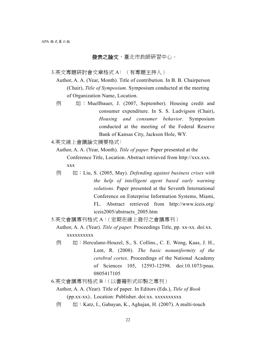## 發表之論文,臺北市教師研習中心。

- 3.英文專題研討會文章格式 A﹕(有專題主持人)
	- Author, A. A. (Year, Month). Title of contribution. In B. B. Chairperson (Chair), *Title of Symposium*. Symposium conducted at the meeting of Organization Name, Location.
	- $\boxed{0}$   $\boxed{1}$  : Muellbauer, J. (2007, September). Housing credit and consumer expenditure. In S. S. Ludvigson (Chair), *Housing and consumer behavior*. Symposium conducted at the meeting of the Federal Reserve Bank of Kansas City, Jackson Hole, WY.
- 4.英文線上會議論文摘要格式:
	- Author, A. A. (Year, Month). *Title of paper.* Paper presented at the Conference Title, Location. Abstract retrieved from http://xxx.xxx. xxx
	- 例 如:Liu, S. (2005, May). *Defending against business crises with the help of intelligent agent based early warning solutions*. Paper presented at the Seventh International Conference on Enterprise Information Systems, Miami, FL. Abstract retrieved from http://www.iceis.org/ iceis2005/abstracts\_2005.htm
- 5.英文會議專刊格式 A:(定期在線上發行之會議專刊)
	- Author, A. A. (Year). *Title of paper.* Proceedings Title, pp. xx-xx. doi:xx. xxxxxxxxxx
	- 例 如:Herculano-Houzel, S., S. Collins., C. E. Wong, Kaas, J. H., Lent, R. (2008). *The basic nonuniformity of the cerebral cortex*. Proceedings of the National Academy of Sciences 105, 12593-12598. doi:10.1073/pnas. 0805417105
- 6.英文會議專刊格式 B:(以書籍形式印製之專刊)
	- Author, A. A. (Year). Title of paper*.* In Editors (Eds.), *Title of Book*  (pp.xx-xx).. Location: Publisher. doi:xx. xxxxxxxxxx
	- 例 如:Katz, I., Gabayan, K., Aghajan, H. (2007). A multi-touch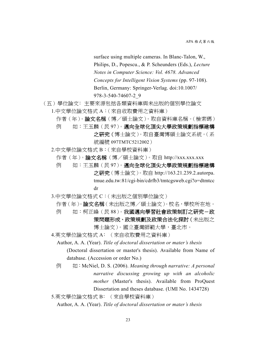surface using multiple cameras. In Blanc-Talon, W., Philips, D., Popescu., & P. Scheunders (Eds.), *Lecture Notes in Computer Science: Vol. 4678. Advanced Concepts for Intelligent Vision Systems* (pp. 97-108). Berlin, Germany: Springer-Verlag. doi:10.1007/ 978-3-540-74607-2\_9

- (五)學位論文﹕主要來源包括各類資料庫與未出版的個別學位論文
	- 1.中文學位論文格式 A:(來自收取費用之資料庫) 作者(年)。論文名稱(博/碩士論文)。取自資料庫名稱。(檢索碼) 例 如:王玉麟(民97)。邁向全球化頂尖大學政策規劃指標建構 之研究(博士論文)。取自臺灣博碩士論文系統。(系
	- 統編號 097TMTC5212002) 2.中文學位論文格式 B:(來自學校資料庫)
	- - 作者(年)。論文名稱(博/碩士論文)。取自 http://xxx.xxx.xxx
		- 例 如:王玉麟(民 97)。邁向全球化頂尖大學政策規劃指標建構 之研究(博士論文)。取自 http://163.21.239.2.autorpa. tmue.edu.tw:81/cgi-bin/cdrfb3/tmtcgsweb.cgi?o=dtmtcc dr
	- 3.中文學位論文格式 C:(未出版之個別學位論文)
		- 作者(年)。論文名稱(未出版之博/碩士論文)。校名,學校所在地。
		- 例 如:柯正峰 (民 88)。我國邁向學習社會政策制訂之研究-政 策問題形成、政策規劃及政策合法化探討(未出版之
			- 博士論文)。國立臺灣師範大學,臺北市。
	- 4.英文學位論文格式 A: (來自收取費用之資料庫)
		- Author, A. A. (Year). *Title of doctoral dissertation or mater's thesis*  (Doctoral dissertation or master's thesis). Available from Name of database. (Accession or order No.)
		- 例 如:McNiel, D. S. (2006). *Meaning through narrative: A personal narrative discussing growing up with an alcoholic mother* (Master's thesis). Available from ProQuest Dissertation and theses database. (UMI No. 1434728)
	- 5.英文學位論文格式 B: (來自學校資料庫)
		- Author, A. A. (Year). *Title of doctoral dissertation or mater's thesis*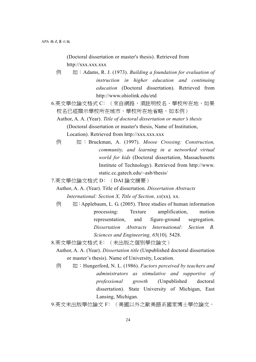(Doctoral dissertation or master's thesis). Retrieved from http://xxx.xxx.xxx

- 例 如:Adams, R. J. (1973). *Building a foundation for evaluation of instruction in higher education and continuing education* (Doctoral dissertation). Retrieved from http://www.ohiolink.edu/etd
- 6.英文學位論文格式 C: (來自網路,須註明校名、學校所在地,如果 校名已經顯示學校所在城市,學校所在地省略,如本例)

 Author, A. A. (Year). *Title of doctoral dissertation or mater's thesis*  (Doctoral dissertation or master's thesis, Name of Institution, Location). Retrieved from http://xxx.xxx.xxx.

例 如 : Bruckman, A. (1997). *Moose Crossing: Construction, community, and learning in a networked virtual world for kids* (Doctoral dissertation, Massachusetts Institute of Technology). Retrieved from http://www. static.cc.gatech.edu/~asb/thesis/

7.英文學位論文格式 D﹕(DAI 論文摘要)

Author, A. A. (Year). Title of dissertation. *Dissertation Abstracts International: Section X, Title of Section, xx*(xx)*,* xx.

 $\overline{\emptyset}$   $\overline{\emptyset}$  : Applebaum, L. G. (2005). Three studies of human information processing: Texture amplification, motion representation, and figure-ground segregation. *Dissertation Abstracts International: Section B. Sciences and Engineering, 65*(10)*,* 5428.

8.英文學位論文格式 E﹕(未出版之個別學位論文)

- Author, A. A. (Year). *Dissertation title* (Unpublished doctoral dissertation or master's thesis). Name of University, Location.
- 例 如:Hungerford, N. L. (1986). *Factors perceived by teachers and administrators as stimulative and supportive of professional growth* (Unpublished doctoral dissertation). State University of Michigan, East Lansing, Michigan.
- 9.英文未出版學位論文 F: (美國以外之歐美語系國家博士學位論文,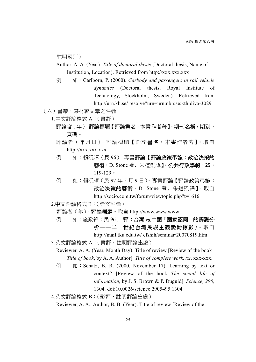註明國別)

Author, A. A. (Year). *Title of doctoral thesis* (Doctoral thesis, Name of Institution, Location). Retrieved from http://xxx.xxx.xxx

例 如:Carlborn, P. (2000). *Carbody and passengers in rail vehicle dynamics* (Doctoral thesis, Royal Institute of Technology, Stockholm, Sweden). Retrieved from http://urn.kb.se/ resolve?urn=urn:nbn:se:kth:diva-3029

(六)書籍、媒材或文章之評論

1.中文評論格式 A:(書評)

- 評論者(年)。評論標題【評論書名,本書作者著】。期刊名稱,期別, 頁碼。
- 評論者 (年月日)。 評論標題【評論書名,本書作者著】。 取自 http://xxx.xxx.xxx
- 例 如:賴沅暉(民 96)。專書評論【評論政策弔詭:政治決策的 藝術,D. Stone 著、朱道凱譯】。公共行政學報,**25**, 119-129。
- 例 如:賴沅暉(民 97 年 5 月 9 日)。專書評論【評論**政策弔詭:** 政治決策的藝術, D. Stone 著、朱道凱譯】。取自

2.中文評論格式 B:(論文評論)

評論者(年)。評論標題。取自 http://www.www.www

例 如:施政鋒(民 96)。評〈台灣 vs.中國「國家認同」的辨證分 析──二十世紀台灣民族主義變動掠影 〉。取自

http://mail.tku.edu.tw/ cfshih/seminar/20070819.htm

- 3.英文評論格式 A:(書評,註明評論出處)
	- Reviewer, A. A. (Year, Month Day). Title of review [Review of the book *Title of book*, by A. A. Author]. *Title of complete work, xx*, xxx-xxx.
	- 例 如:Schatz, B. R. (2000, November 17). Learning by text or context? [Review of the book *The social life of information*, by J. S. Brown & P. Duguid]. *Science, 290*, 1304. doi:10.0026/science.2905495.1304
- 4.英文評論格式 B:(影評,註明評論出處)

Reviewer, A. A., Author, B. B. (Year). Title of review [Review of the

http://socio.com.tw/forum/viewtopic.php?t=1616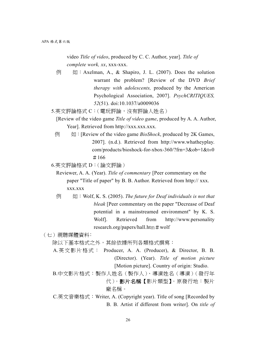video *Title of video*, produced by C. C. Author, year]. *Title of complete work, xx*, xxx-xxx.

- $\boxed{0}$   $\boxed{1}$  : Axelman, A., & Shapiro, J. L. (2007). Does the solution warrant the problem? [Review of the DVD *Brief therapy with adolescents,* produced by the American Psychological Association, 2007]. *PsychCRITIQUES, 52*(51). doi:10.1037/a0009036
- 5.英文評論格式 C: (電玩評論, 沒有評論人姓名)
	- [Review of the video game *Title of video game*, produced by A. A. Author, Year]. Retrieved from http://xxx.xxx.xxx.
	- 例 如:[Review of the video game *BioShock*, produced by 2K Games, 2007]. (n.d.). Retrieved from http://www.whatheyplay. com/products/bioshock-for-xbox-360/?frn=3&ob=1&t=0 #166
- 6.英文評論格式 D:(論文評論)
	- Reviewer, A. A. (Year). *Title of commentary* [Peer commentary on the paper "Title of paper" by B. B. Author. Retrieved from http:// xxx. xxx.xxx
	- 例 如:Wolf, K. S. (2005). *The future for Deaf individuals is not that bleak* [Peer commentary on the paper "Decrease of Deaf potential in a mainstreamed environment" by K. S. Wolf]. Retrieved from http://www.personality research.org/papers/hall.htm  $\#$  wolf

(七)視聽媒體資料﹕

除以下基本格式之外,其餘依據所列各類格式撰寫:

- A.英文影片格式: Producer, A. A. (Producer), & Director, B. B. (Director). (Year). *Title of motion picture* [Motion picture]. Country of origin: Studio.
- B.中文影片格式:製作人姓名(製作人)、導演姓名(導演)(發行年 代)。影片名稱【影片類型】。原發行地:製片 廠名稱。
- C.英文音樂格式:Writer, A. (Copyright year). Title of song [Recorded by B. B. Artist if different from writer]. On *title of*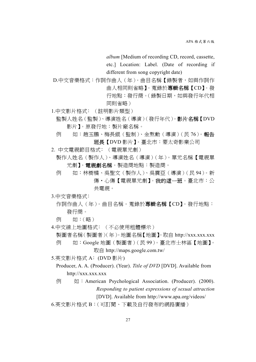*album* [Medium of recording CD, record, cassette, etc.] Location: Label. (Date of recording if different from song copyright date)

D.中文音樂格式:作詞作曲人(年)。曲目名稱【錄製者,如與作詞作 曲人相同則省略】。蒐錄於專輯名稱【CD】。發 行地點:發行商。(錄製日期,如與發行年代相 同則省略)

- 1.中文影片格式﹕(註明影片類型)
	- 監製人姓名(監製)、導演姓名(導演)(發行年代)。影片名稱【DVD 影片】。原發行地:製片廠名稱。
	- 例 如:趙玉鵬、梅長錕(監制)、金熬動(導演)(民 76)。 報告 班長【DVD 影片】。臺北市:蒙太奇影業公司
- 2. 中文電視節目格式﹕(電視單元劇)

製作人姓名(製作人)、導演姓名(導演)(年)。單元名稱【電視單 元劇】。電視劇名稱。製造商地點:製造商。

例 如:林樹橘、吳聖文(製作人)、吳震亞(導演)(民 94)。新 傷‧心傷【電視單元劇】。我的這一班。臺北市:公 共電視。

3.中文音樂格式﹕

- 作詞作曲人(年)。曲目名稱。蒐錄於**專輯名稱【CD】**。發行地點: 發行商。
- 例 如:(略)
- 4.中文線上地圖格式: (不必使用粗體標示)

製圖者名稱(製圖者)(年)。地圖名稱【地圖】。取自 http://xxx.xxx.xxx

例 如:Google 地圖(製圖者)(民 99)。臺北市士林區【地圖】。 取自 http://maps.google.com.tw/

5.英文影片格式 A﹕(DVD 影片)

- Producer, A. A. (Producer). (Year). *Title of DVD* [DVD]. Available from http://xxx.xxx.xxx
- $\boxed{0}$   $\boxed{1}$  : American Psychological Association. (Producer). (2000). *Responding to patient expressions of sexual attraction* [DVD]. Available from http://www.apa.org/videos/

6.英文影片格式 B:(可訂閱、下載及自行發布的網路廣播)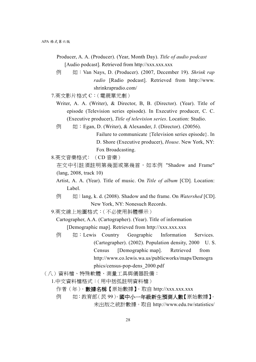- Producer, A. A. (Producer). (Year, Month Day). *Title of audio podcast* [Audio podcast]. Retrieved from http://xxx.xxx.xxx
- 例 如:Van Nays, D. (Producer). (2007, December 19). *Shrink rap radio* [Radio podcast]. Retrieved from http://www. shrinkrapradio.com/
- 7.英文影片格式 C:(電視單元劇)
	- Writer, A. A. (Writer), & Director, B, B. (Director). (Year). Title of episode (Television series episode). In Executive producer, C. C. (Executive producer), *Title of television series*. Location: Studio.
	- 例 如: Egan, D. (Writer), & Alexander, J. (Director). (20056).
		- Failure to communicate {Television series episode}. In D. Shore (Executive producer), *House*. New York, NY: Fox Broadcasting.
- 8.英文音樂格式﹕(CD 音樂)
	- 在文中引註須註明第幾面或第幾首,如本例 "Shadow and Frame" (lang, 2008, track 10)
	- Artist, A. A. (Year). Title of music. On *Title of album* [CD]*.* Location: Label.
	- 例 如:lang, k. d. (2008). Shadow and the frame. On *Watershed* [CD]. New York, NY: Nonesuch Records.
- 9.英文線上地圖格式:(不必使用斜體標示)

Cartographer, A.A. (Cartographer). (Year). Title of information [Demographic map]. Retrieved from http://xxx.xxx.xxx

- **例 如:Lewis Country Geographic Information Services.** (Cartographer). (2002). Population density, 2000 U. S. Census [Demographic map]. Retrieved from http://www.co.lewis.wa.us/publicworks/maps/Demogra phics/census-pop-dens\_2000.pdf
- (八)資料檔、特殊軟體、測量工具與儀器設備:
	- 1.中文資料檔格式:(用中括弧註明資料檔)
		- 作者(年)。 數據名稱【原始數據】。取自 http://xxx.xxx.xxx
		- 例 如:教育部(民99)。國中小一年級新生預測人數【原始數據】。 未出版之統計數據。取自 http://www.edu.tw/statistics/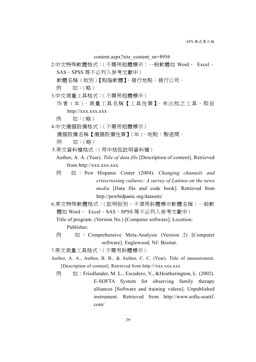content.aspx?site\_content\_sn=8956

2.中文特殊軟體格式:(不需用粗體標示;一般軟體如 Word、 Excel、 SAS、SPSS 等不必列入參考文獻中)

軟體名稱(版別)【點腦軟體】。發行地點:發行公司。

- 例 如:(略)
- 3.中文測量工具格式:(不需用粗體標示)
	- 作者(年)。 測量工具名稱【工具性質】。未出版之工具。取自 http://xxx.xxx.xxx
	- 例 如:(略)
- 4.中文儀器設備格式:(不需用粗體標示) 儀器設備名稱【儀器設備性質】(年)。地點:製造商。 例 如:(略)
- 5.英文資料檔格式:(用中括弧註明資料檔)
- Author, A. A. (Year). *Title of data file* [Description of content]. Retrieved from http://xxx.xxx.xxx
- 例 如 : Pew Hispanic Center (2004). *Changing channels and crisscrossing cultures: A survey of Latinos on the news media* [Data file and code book]. Retrieved from http://pewhidpanic.org/datasets/
- 6.英文特殊軟體格式:(註明版別、不須用斜體標示軟體名稱;一般軟 體如 Word、 Excel、SAS、SPSS 等不必列入參考文獻中)

Title of program. (Version No.) [Computer software]. Location: Publisher.

例 如 : Comprehensive Meta-Analysis (Version 2) [Computer software]. Englewood, NJ: Biostat.

7.英文測量工具格式:(不需用斜體標示)

- Author, A. A., Author, B. B., & Author, C. C. (Year). Title of measurement. [Description of content]. Retrieved from http:///xxx.xxx.xxx.
	- 例 如: Friedlander, M. L., Escudero, V., &Heatherington, L. (2002). E-SOFTA System for observing family therapy alliances [Software and training videos]. Unpublished instrument. Retrieved from http://www.softa-soatif. com/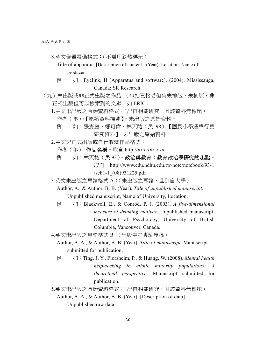- 8.英文儀器設備格式:(不需用斜體標示)
	- Title of apparatus [Description of content]. (Year). Location: Name of producer.
	- $\overline{\emptyset}$  ( $\overline{\emptyset}$  : Eyelink, II [Apparatus and software]. (2004). Mississauga, Canada: SR Research.
- (九)未岀版或非正式出版之作品:(包括已接受但尚未排版、未初版、非 正式出版但可以檢索到的文獻,如 ERIC)
	- 1.中文未出版之原始資料格式:(出自相關研究,且該資料無標題)
		- 作者(年)。【原始資料描述】。未出版之原始資料。
		- 例 如:張憲庭、鄭可偉、林天祐(民 98)。【國民小學選舉行為 研究資料】。未出版之原始資料。
	- 2.中文非正式出版或自行收藏作品格式:
		- 作者(年)。作品名稱。取自 http://xxx.xxx.xxx
		- 例 如:林天祐(民93)。政治與教育:教育政治學研究的起點。
			- 取自:http://www.edu.ndhu.edu.tw/note/notebook/93-1 /sch1-1\_(08)931225.pdf
	- 3.英文未出版之專論格式 A:( 未出版之專論,且引自大學 )
		- Author, A., & Author, B. B. (Year). *Title of unpublished manuscript*. Unpublished manuscript, Name of University, Location.
		- 例 如:Blackwell, E., & Conrod, P. J. (2003). *A five-dimensional measure of drinking motives*. Unpublished manuscript, Department of Psychology, University of British Columbia, Vancouver, Canada.
	- 4.英文未出版之專論格式 B:(出版中之專論原稿)
		- Author, A. A., & Author, B. B. (Year). *Title of manuscript*. Manuscript submitted for publication.
		- 例 如:Ting, J. Y., Florsheim, P., & Huang, W. (2008). *Mental health help-seeking in ethnic minority populations: A theoretical perspective.* Manuscript submitted for publication.

5.英文未出版之原始資料格式:(出自相關研究,且該資料無標題) Author, A. A., & Author, B. B. (Year). [Description of data]. Unpublished raw data.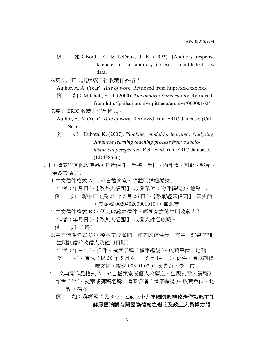- 例 如:Bordi, F., & LeDoux, J. E. (1993). [Auditory response latencies in rat auditory cortex]. Unpublished raw data.
- 6.英文非正式出版或自行收藏作品格式:
	- Author, A. A. (Year). Title of work. Retrieved from http://xxx.xxx.xxx.
	- 例 如:Mitchell, S. D. (2000). *The import of uncertainty.* Retrieved from http://philsci-archive.pitt.edu/archive/00000162/
- 7.英文 ERIC 收藏之作品格式:
	- Author, A. A. (Year). *Title of work*. Retrieved from ERIC database. (Call No.)
	- 例 如:Kubota, K. (2007). *"Soaking" model for learning: Analyzing Japanese learning/teaching process from a sociohistorical perspective*. Retrieved from ERIC database. (ED498566)
- (十)檔案與其他收藏品(包括信件、手稿、手冊、內部檔、剪報、照片、 儀器設備等)
	- 1.中文信件格式 A:(來自檔案室,須註明詳細編號)
		- 作者(年月日)。【致某人信函】。收藏單位(物件編號),地點。.
		- 例 如:蔣中正(民 28 年 5 月 26 日)。【致蔣經國信函】。國史館 (典藏號 002040200001010),臺北市。
	- 2.中文信件格式 B:(個人收藏之信件,經同意之後註明收藏人)
		- 作者(年月日)。【致某人信函】。收藏人姓名收藏。.
		- 例 如:(略)
	- 3.中文信件格式 C:(檔案室收藏同一作者的信件集;文中引註要詳細 註明該信件收信人及確切日期)
		- 作者(年-年)。信件。檔案名稱(檔案編號)。收藏單位,地點。
		- 例 如:陳誠(民 36 年 5 月 6 日-5 月 14 日)。信件。陳誠副總 統文物 (編號 008 01 02)。國史館,臺北市。
	- 4.中文典藏作品格式 A(來自檔案室或個人收藏之未出版文章、講稿)
		- 作者 (年)。文章或講稿名稱。檔案名稱 (檔案編號)。收藏單位,地 點。檔案
		- 例 如:蔣經國(民 39)。民國三十九年國防部總政治作戰部主任 蔣經國演講有關國際情勢之變化及政工人員權力問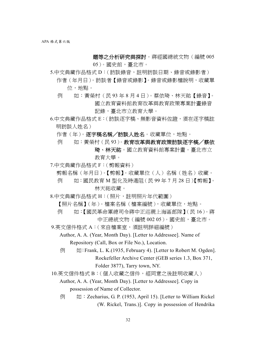題等之分析研究與探討。蔣經國總統文物(編號 005

05)。國史館,臺北市。

- 5.中文典藏作品格式 D: (訪談錄音,註明訪談日期、錄音或錄影者) 作者 (年月日)。訪談者【錄音或錄影】。錄音或錄影檔說明, 收藏單 位,地點。
	- 例 如:黃榮村(民 93 年 8 月 4 日)。蔡依琦、林天祐【錄音】。 國立教育資料館教育改革與教育政策專案計畫錄音 記錄,臺北市立教育大學。
- 6.中文典藏作品格式 E:(訪談逐字稿、無影音資料佐證,須在逐字稿註 明訪談人姓名)
	- 作者(年)。逐字稿名稱/訪談人姓名。收藏單位,地點。
	- 例 如:黃榮村(民93)。教育改革與教育政策訪談逐字槁/蔡依 琦、林天祐。國立教育資料館專案計畫。臺北市立
		- 教育大學。
- 7.中文典藏作品格式 F:(剪報資料)
	- 剪報名稱(年月日)。【剪報】。收藏單位(人)名稱(姓名)收藏。
	- 例 如:國民教育 M 型化及時遏阻(民 99 年 7 月 28 日)【剪報】。 林天祐收藏。
- 8.中文典藏作品格式 H:(照片,註明照片年代範圍)
	- 【照片名稱】(年)。檔案名稱(檔案編號),收藏單位,地點。
	- 例 如:【國民革命軍總司令蔣中正巡視上海區部隊】(民 16)。蔣 中正總統文物(編號 002 05)。國史館,臺北市。
- 9.英文信件格式 A:( 來自檔案室,須註明詳細編號 )
	- Author, A. A. (Year, Month Day). [Letter to Addressee]. Name of Repository (Call, Box or File No.), Location.
	- $\overline{\emptyset}$   $\overline{\emptyset}$ : Frank, L. K. (1935, February 4). [Letter to Robert M. Ogden]. Rockefeller Archive Center (GEB series 1.3, Box 371, Folder 3877), Tarry town, NY.

10.英文信件格式 B:(個人收藏之信件,經同意之後註明收藏人)

 Author, A. A. (Year, Month Day). [Letter to Addressee]. Copy in possession of Name of Collector.

例 如:Zecharius, G. P. (1953, April 15). [Letter to William Rickel (W. Rickel, Trans.)]. Copy in possession of Hendrika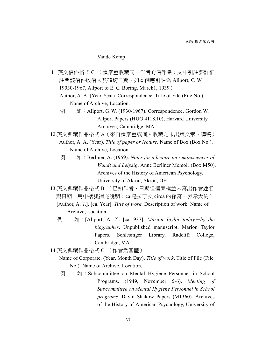Vande Kemp.

11.英文信件格式 C:(檔案室收藏同一作者的信件集;文中引註要詳細 註明該信件收信人及確切日期, 如本例應引註為 Allport, G. W. 19030-1967, Allport to E. G. Boring, March1, 1939) Author, A. A. (Year-Year). Correspondence. Title of File (File No.). Name of Archive, Location.

- 例 如:Allport, G. W. (1930-1967). Correspondence. Gordon W. Allport Papers (HUG 4118.10), Harvard University Archives, Cambridge, MA.
- 12.英文典藏作品格式 A(來自檔案室或個人收藏之未出版文章、講稿) Author, A. A. (Year). *Title of paper or lecture*. Name of Box (Box No.). Name of Archive, Location.
	- 例 如:Berliner, A. (1959). *Notes for a lecture on reminiscences of Wundt and Leipzig*. Anne Berliner Memoir (Box M50). Archives of the History of American Psychology, University of Akron, Akron, OH.
- 13.英文典藏作品格式 B:(已知作者、日期但檔案檔並未寫出作者姓名 與日期,用中括弧補充說明;ca.是拉丁文 circa 的縮寫,表示大約)
	- [Author, A. ?.]. [ca. Year]. *Title of work*. Description of work. Name of Archive, Location.
	- 例 如:[Allport, A. ?]. [ca.1937]. *Marion Taylor toda*y-*by the biographer*. Unpublished manuscript, Marion Taylor Papers. Schlesinger Library, Radcliff College, Cambridge, MA.
- 14.英文典藏作品格式 C:(作者為團體)
	- Name of Corporate. (Year, Month Day). *Title of work*. Title of File (File No.). Name of Archive, Location.
	- **例 如:Subcommittee on Mental Hygiene Personnel in School** Programs. (1949, November 5-6). *Meeting of Subcommittee on Mental Hygiene Personnel in School programs.* David Shakow Papers (M1360). Archives of the History of American Psychology, University of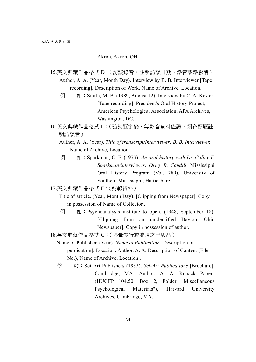## Akron, Akron, OH.

- 15.英文典藏作品格式 D: (訪談錄音,註明訪談日期、錄音或錄影者) Author, A. A. (Year, Month Day). Interview by B. B. Interviewer [Tape recording]. Description of Work. Name of Archive, Location.
	- $\overline{\emptyset}$   $\overline{\emptyset}$  : Smith, M. B. (1989, August 12). Interview by C. A. Kesler [Tape recording]. President's Oral History Project, American Psychological Association, APA Archives, Washington, DC.
- 16.英文典藏作品格式 E:(訪談逐字稿、無影音資料佐證,須在標題註 明訪談者)
	- Author, A. A. (Year). *Title of transcript/Interviewer: B. B. Interviewer.* Name of Archive, Location.
	- 例 如:Sparkman, C. F. (1973). *An oral history with Dr. Colley F. Sparkman/interviewer: Orley B. Caudill*. Mississippi Oral History Program (Vol. 289), University of Southern Mississippi, Hattiesburg.
- 17.英文典藏作品格式 F:(剪報資料)
	- Title of article. (Year, Month Day). [Clipping from Newspaper]. Copy in possession of Name of Collector..
	- $\overline{\emptyset}$   $\overline{\emptyset}$  : Psychoanalysis institute to open. (1948, September 18). [Clipping from an unidentified Dayton, Ohio Newspaper]. Copy in possession of author.
- 18.英文典藏作品格式 G:(限量發行或流通之出版品)
	- Name of Publisher. (Year). *Name of Publication* [Description of publication]. Location: Author, A. A. Description of Content (File No.), Name of Archive, Location..
	- 例 如:Sci-Art Publishers (1935). *Sci-Art Publications* [Brochure]. Cambridge, MA: Author, A. A. Roback Papers (HUGFP 104.50, Box 2, Folder "Miscellaneous Psychological Materials"), Harvard University Archives, Cambridge, MA.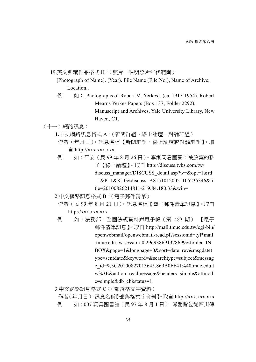19.英文典藏作品格式 H:(照片,註明照片年代範圍)

[Photograph of Name]. (Year). File Name (File No.), Name of Archive, Location..

- $\overline{\emptyset}$  (If : [Photographs of Robert M. Yerkes]. (ca. 1917-1954). Robert Mearns Yerkes Papers (Box 137, Folder 2292), Manuscript and Archives, Yale University Library, New Haven, CT.
- (十一)網路訊息:
	- 1.中文網路訊息格式 A:(新聞群組、線上論壇、討論群組)
		- 作者(年月日)。訊息名稱【新聞群組、線上論壇或討論群組】。取 自 http://xxx.xxx.xxx
	- 例 如:平安(民 99 年 8 月 26 日)。李家同看國豪:被放棄的孩 子【線上論壇】。取自 http://discuss.tvbs.com.tw/ discuss\_manager/DISCUSS\_detail.asp?w=&opt=1&rd =1&P=1&K=0&discuss=A81510120021105235346&ti tle=20100826214811-219.84.180.33&win=
	- 2.中文網路訊息格式 B:(電子郵件清單)
		- 作者(民 99 年 8 月 21 日)。訊息名稱【電子郵件清單訊息】。取自 http://xxx.xxx.xxx
		- 例 如:法務部。全國法規資料庫電子報(第 489 期) 【電子 郵件清單訊息】。取自 http://mail.tmue.edu.tw/cgi-bin/ openwebmail/openwebmail-read.pl?sessionid=tyl\*mail .tmue.edu.tw-session-0.296938691378699&folder=IN BOX&page=1&longpage=0&sort=date\_rev&msgdatet ype=sentdate&keyword=&searchtype=subject&messag e\_id=%3C20100827013645.869B0FF41%40tmue.edu.t w%3E&action=readmessage&headers=simple&attmod e=simple&db\_chkstatus=1
	- 3.中文網路訊息格式 C:(部落格文字資料)
		- 作者(年月日)。訊息名稱【部落格文字資料】。取自 http://xxx.xxx.xxx 例 如:007 玩具圖書館(民 97 年 8 月 1 日)。傳愛背包從四川傳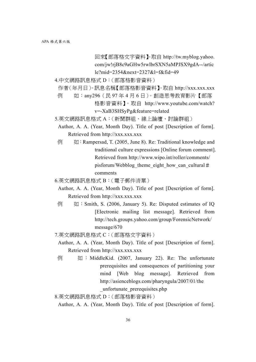回來【部落格文字資料】。取自 http://tw.myblog.yahoo. com/jw!rjB8c9aGHw5rwlbrSXN5aMPJSX9gdA--/artic le?mid=2354&next=2327&l=f&fid=49

- 4.中文網路訊息格式 D:(部落格影音資料)
	- 作者(年月日)。訊息名稱【部落格影音資料】。取自 http://xxx.xxx.xxx
	- 例 如:any296(民 97 年 4 月 6 日)。創造思考教育影片【部落
		- 格影音資料】。取自 http://www.youtube.com/watch? v=-XaB3SHSyPg&feature=related
- 5.英文網路訊息格式 A:(新聞群組、線上論壇、討論群組)
- Author, A. A. (Year, Month Day). Title of post [Description of form]. Retrieved from http://xxx.xxx.xxx
- $\boxed{6}$   $\boxed{4}$ : Rampersad, T. (2005, June 8). Re: Traditional knowledge and traditional culture expressions [Online forum comment]. Retrieved from http://www.wipo.int/roller/comments/ pisforum/Webblog\_theme\_eight\_how\_can\_cultural# comments
- 6.英文網路訊息格式 B:(電子郵件清單)
	- Author, A. A. (Year, Month Day). Title of post [Description of form]. Retrieved from http://xxx.xxx.xxx
- $\overline{M}$  i Smith, S. (2006, January 5). Re: Disputed estimates of IQ [Electronic mailing list message]. Retrieved from http://tech.groups.yahoo.com/group/ForensicNetwork/ message/670
- 7.英文網路訊息格式 C:(部落格文字資料)
	- Author, A. A. (Year, Month Day). Title of post [Description of form]. Retrieved from http://xxx.xxx.xxx
- 例 如 : MiddleKid. (2007, January 22). Re: The unfortunate prerequisites and consequences of partitioning your mind [Web blog message]. Retrieved from http://asienceblogs.com/pharyngula/2007/01/the \_unfortunate\_prerequisites.php
- 8.英文網路訊息格式 D:(部落格影音資料)
	- Author, A. A. (Year, Month Day). Title of post [Description of form].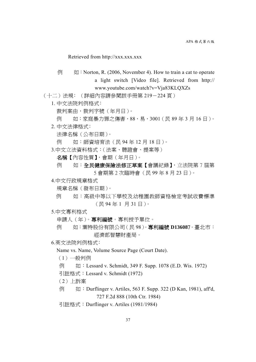## Retrieved from http://xxx.xxx.xxx

 $\overline{\emptyset}$   $\overline{\emptyset}$  : Norton, R. (2006, November 4). How to train a cat to operate a light switch [Video file]. Retrieved from http:// www.youtube.com/watch?v=Vja83KLQXZs

(十二)法規﹕(詳細內容請參閱該手冊第 219-224 頁)

- 1. 中文法院判例格式﹕
	- 裁判案由,裁判字號(年月日)。
	- 例 如:家庭暴力罪之傷害,88,易,3001(民 89 年 3 月 16 日)。
- 2. 中文法律格式﹕
	- 法律名稱(公布日期)。
	- 例 如:師資培育法(民 94 年 12 月 18 日)。
- 3.中文立法資料格式:(法案、聽證會、提案等)
	- 名稱【內容性質】,會期(年月日)。
	- 例 如:全民健康保險法修正草案【會議紀錄】,立法院第7屆第 5 會期第 2 次臨時會(民 99 年 8 月 23 日)。
- 4.中文行政規章格式
	- 規章名稱(發布日期)。
	- 例 如:高級中等以下學校及幼稚園教師資格檢定考試收費標準 (民 94 年 1 月 31 日)。
- 5.中文專利格式
	- 申請人(年)。專利編號。專利授予單位。
	- 例 如:葉特股份有限公司(民 98)。專利編號 **D13608**7。臺北市: 經濟部智慧財產局。
- 6.英文法院判例格式﹕
	- Name vs. Name, Volume Source Page (Court Date).
	- $(1)$  一般判例
	- 例 如: Lessard v. Schmidt, 349 F. Supp. 1078 (E.D. Wis. 1972)
	- 引註格式:Lessard v. Schmidt (1972)
	- (2)上訴案
	- 例 如: Durflinger v. Artiles, 563 F. Supp. 322 (D Kan, 1981), aff'd, 727 F.2d 888 (10th Ctr. 1984)
	- 引註格式:Durflinger v. Artiles (1981/1984)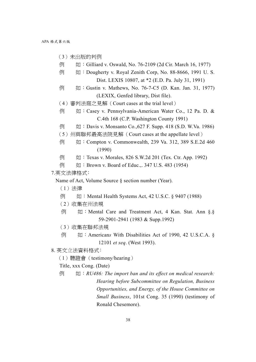- (3)未岀版的判例
- 例 如: Gilliard v. Oswald, No. 76-2109 (2d Cir. March 16, 1977)
- 例 如: Dougherty v. Royal Zenith Corp, No. 88-8666, 1991 U. S. Dist. LEXIS 10807, at \*2 (E.D. Pa. July 31, 1991)
- 例 如: Gustin v. Mathews, No. 76-7-C5 (D. Kan. Jan. 31, 1977) (LEXIX, Genfed library, Dist file).
- (4) 審判法庭之見解 (Court cases at the trial level)
- 例 如:Casey v. Pennsylvania-American Water Co., 12 Pa. D. & C.4th 168 (C.P. Washington County 1991)
- $\overline{\phi}$   $\psi$  : Davis v. Monsanto Co., 627 F. Supp. 418 (S.D. W.Va. 1986)
- (5)州與聯邦最高法院見解(Court cases at the appellate level)
- 例 如: Compton v. Commonwealth, 239 Va. 312, 389 S.E.2d 460 (1990)
- 例 如: Texas v. Morales, 826 S.W.2d 201 (Tex. Ctr. App. 1992)
- 例 如: Brown v. Board of Educ.,. 347 U.S. 483 (1954)

## 7.英文法律格式﹕

Name of Act, Volume Source § section number (Year).

- (1)法律
- 例 如: Mental Health Systems Act, 42 U.S.C. § 9407 (1988)
- (2)收集在州法規
- 例 如: Mental Care and Treatment Act, 4 Kan. Stat. Ann §.§ 59-2901-2941 (1983 & Supp.1992)
- (3)收集在聯邦法規
- 例 如:American*s* With Disabilities Act of 1990, 42 U.S.C.A. § 12101 *et seq*. (West 1993).
- 8. 英文立法資料格式﹕
	- (1)聽證會(testimony/hearing)
	- Title, xxx Cong. (Date)
	- 例 如:*RU486: The import ban and its effect on medical research: Hearing before Subcommittee on Regulation, Business Opportunities, and Energy, of the House Committee on Small Business*, 101st Cong. 35 (1990) (testimony of Ronald Chesemore).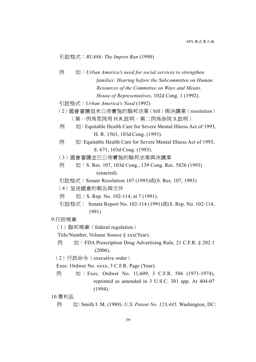## 引註格式:*RU486: The Import Ban* (1990)

- 例 如:*Urban America's need for social services to strengthen families: Hearing before the Subcommittee on Human Resources of the Committee on Ways and Means, House of Representatives*, 102d Cong. 1 (1992).
- 引註格式:*Urban America's Need* (1992)
- (2)國會審議但未公佈實施的聯邦法案(bill)與決議案(resolution) (第一例為眾院用 H.R.註明,第二例為參院 S.註明)
- $\overline{\phi}$   $\overline{\psi}$  : Equitable Health Care for Severe Mental Illness Act of 1993, H. R. 1563, 103d Cong. (1993).
- $\overline{\emptyset}$   $\overline{\emptyset}$  : Equitable Health Care for Severe Mental Illness Act of 1993, S. 671, 103d Cong. (1993).
- (3)國會審議並已公佈實施的聯邦法案與決議案
- $\overline{\emptyset}$  ( $\overline{\emptyset}$  : S. Res. 107, 103d Cong., 139 Cong. Rec. 5826 (1993) (enacted).
- 引註格式: Senate Resolution 107 (1993)或(S. Res. 107, 1993)
- (4)呈送國會的報告與文件
- $[$   $[$ ( $]$   $[$   $]$   $[$   $]$   $[$   $]$   $[$   $]$   $[$   $]$   $[$   $]$   $[$   $]$   $[$   $]$   $[$   $]$   $[$   $]$   $[$   $]$   $[$   $]$   $[$   $]$   $[$   $]$   $[$   $]$   $[$   $]$   $[$   $]$   $[$   $]$   $[$   $]$   $[$   $]$   $[$   $]$   $[$   $]$   $[$   $]$   $[$   $]$   $[$   $]$   $[$   $]$
- 引註格式: Senate Report No. 102-114 (1991)或(S. Rep. No. 102-114, 1991)

### 9.行政規章

(1)聯邦規章(federal regulation)

Title/Number, Volume Source § xxx(Year).

例 如: FDA Prescription Drug Advertising Rule, 21 C.F.R. § 202 1 (2006).

(2)行政命令(executive order)

Exec. Ordwer No. xxxx, 3 C.F.R. Page (Year).

例 如: Exec. Ordwer No. 11,609, 3 C.F.R. 586 (1971-1974), reprinted as amended in 3 U.S.C. 301 app. At 404-07 (1994).

10.專利品

例 如:Smith I. M. (1988). *U.S. Patent No. 123,445*. Washington, DC: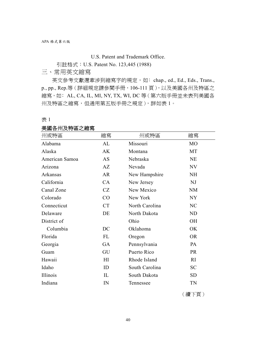U.S. Patent and Trademark Office.

引註格式:U.S. Patent No. 123,445 (1988)

三、常用英文縮寫

英文參考文獻還牽涉到縮寫字的規定,如: chap., ed., Ed., Eds., Trans., p., pp., Rep.等(詳細規定請參閱手冊,106-111 頁),以及美國各州及特區之 縮寫, 如: AL, CA, IL, MI, NY, TX, WI, DC 等 ( 第六版手冊並未表列美國各 州及特區之縮寫,但通用第五版手冊之規定),詳如表 1。

表 1

## 美國各州及特區之縮寫

| 州或特區           | 縮寫        | 州或特區           | 縮寫             |
|----------------|-----------|----------------|----------------|
| Alabama        | AL        | Missouri       | M <sub>O</sub> |
| Alaska         | AK        | Montana        | MT             |
| American Samoa | <b>AS</b> | Nebraska       | <b>NE</b>      |
| Arizona        | AZ        | Nevada         | NV             |
| Arkansas       | <b>AR</b> | New Hampshire  | <b>NH</b>      |
| California     | CA        | New Jersey     | NJ             |
| Canal Zone     | CZ        | New Mexico     | <b>NM</b>      |
| Colorado       | CO        | New York       | NY             |
| Connecticut    | <b>CT</b> | North Carolina | NC             |
| Delaware       | DE        | North Dakota   | ND             |
| District of    |           | Ohio           | <b>OH</b>      |
| Columbia       | DC        | Oklahoma       | OK             |
| Florida        | FL        | Oregon         | <b>OR</b>      |
| Georgia        | GA        | Pennsylvania   | <b>PA</b>      |
| Guam           | GU        | Puerto Rico    | <b>PR</b>      |
| Hawaii         | H         | Rhode Island   | RI             |
| Idaho          | ID        | South Carolina | <b>SC</b>      |
| Illinois       | IL        | South Dakota   | <b>SD</b>      |
| Indiana        | IN        | Tennessee      | <b>TN</b>      |

(續下頁)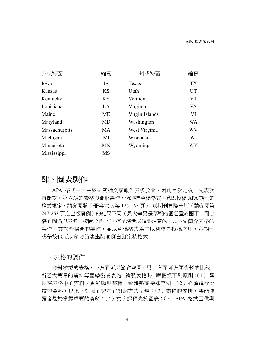| 州或特區          | 縮寫        | 州或特區           | 縮寫        |
|---------------|-----------|----------------|-----------|
| Iowa          | IA        | Texas          | <b>TX</b> |
| Kansas        | <b>KS</b> | Utah           | <b>UT</b> |
| Kentucky      | <b>KY</b> | Vermont        | VT        |
| Louisiana     | LA        | Virginia       | VA        |
| Maine         | ME        | Virgin Islands | VI        |
| Maryland      | <b>MD</b> | Washington     | <b>WA</b> |
| Massachusetts | <b>MA</b> | West Virginia  | WV        |
| Michigan      | MI        | Wisconsin      | WI        |
| Minnesota     | <b>MN</b> | Wyoming        | <b>WY</b> |
| Mississippi   | <b>MS</b> |                |           |

# 肆、圖表製作

APA 格式中,由於研究論文或報告表多於圖,因此目次之後,先表次 再圖次。第六版的表格與圖形製作,仍維持草稿格式 (意即投稿 APA 期刊的 格式規定,請參閱該手冊第六版第 125-167 頁),與期刊實際出版(請參閱第 247-253 頁之出版實例)的結果不同 ( 最大差異是草稿的圖名置於圖下, 而定 稿的圖名與表名一樣置於圖上),這是讀者必須要注意的。以下先簡介表格的 製作,其次介紹圖的製作,並以草稿格式為主以利讀者投稿之用,各期刊 或學校也可以參考前述出版實例自訂定稿格式。

一、表格的製作

資料繪製成表格,一方面可以節省空間,另一方面可方便資料的比較, 所乙太簡單的資料無需繪製成表格。繪製表格時,應把握下列原則:(1) 呈 現在表格中的資料,更能顯現某種一致趨勢或特殊事例;(2) 必須進行比 較的資料,以上下對照而非左右對照方式呈現;(3)表格的安排,要能使 讀者易於掌握重要的資料;(4)文字解釋先於圖表;(5)APA 格式因供期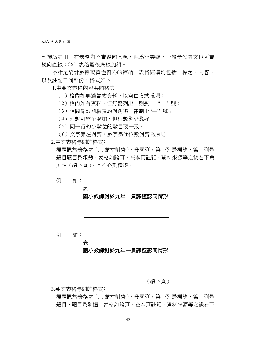刊排版之用,在表格內不畫縱向直線,但為求美觀,一般學位論文也可畫 縱向直線;(6)表格最後底線加粗。

不論是統計數據或質性資料的歸納,表格結構均包括:標題、內容、 以及註記三個部份,格式如下:

1.中英文表格內容共同格式﹕

- (1)格內如無適當的資料,以空白方式處理;
- (2)格內如有資料,但無需列出,則劃上 "—'' 號;
- (3)相關係數列聯表的對角線一律劃上"—'' 號;
- (4)列數可酌予增加,但行數愈少愈好;
- (5)同一行的小數位的數目要一致。
- (6)文字靠左對齊,數字靠個位數對齊為原則。
- 2.中文表格標題的格式﹕

標題置於表格之上(靠左對齊),分兩列,第一列是標號,第二列是 題目題目為粗體。表格如跨頁,在本頁註記、資料來源等之後右下角 加註(續下頁),且不必劃橫線。

例 如:

表 1

# 國小教師對於九年一貫課程認同情形

例 如:

表 1

## 國小教師對於九年一貫課程認同情形

(續下頁)

3.英文表格標題的格式﹕

標題置於表格之上(靠左對齊),分兩列,第一列是標號,第二列是 題目,題目為斜體。表格如跨頁,在本頁註記、資料來源等之後右下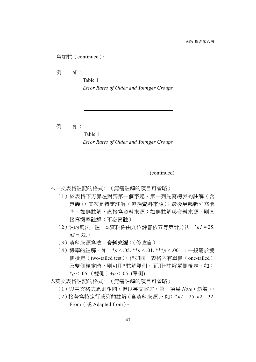## 角加註(continued)。

例 如:

Table 1

*Error Rates of Older and Younger Groups* 

例 如:

 Table 1 *Error Rates of Older and Younger Groups* 

(continued)

4.中文表格註記的格式: (無需註解的項目可省略)

- (1)於表格下方靠左對齊第一個字起,第一列先寫總表的註解(含 定義),其次是特定註解(包括資料來源);最後另起新列寫機 率。如無註解,直接寫資料來源;如無註解與資料來源,則直 接寫機率註解(不必寫註)。
- (2)註的寫法:註:本資料係由九位評審依五等第計分法;<sup>a</sup>*n1* = 25.  $n2 = 32$ .
- (3)資料來源寫法:資料來源:(修改自)。
- (4)機率的註解,如﹕\**p* < .05. \*\**p* < .01. \*\*\**p* < .001.;一般屬於雙 側檢定(two-tailed test),但如同一表格內有單側(one-tailed) 及雙側檢定時,則可用\*註解雙側,而用+註解單側檢定,如: \**p* <. 05.(雙側)+*p* < .05. (單側)。

5.英文表格註記的格式: (無需註解的項目可省略)

- (1)與中文格式原則相同,但以英文敘述,第一項為 *Note*(斜體)。
- (2)接著寫特定行或列的註解(含資料來源),如﹕<sup>a</sup>*n1* = 25. *n2* = 32. From (或 Adapted from)。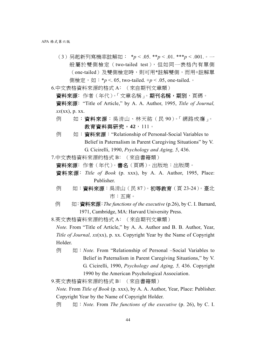(3)另起新列寫機率註解如: \**p* < .05. \*\**p* < .01. \*\*\**p* < .001.。一 般屬於雙側檢定(two-tailed test),但如同一表格內有單側 (one-tailed)及雙側檢定時,則可用\*註解雙側,而用+註解單 側檢定,如:\**p* <. 05, two-tailed. +*p* < .05, one-tailed.。

6.中文表格資料來源的格式 A﹕(來自期刊文章類)

資料來源: 作者 (年代)。「文章名稱」。期刊名稱,期別,頁碼。 資料來源﹕"Title of Article," by A. A. Author, 1995, *Title of Journal, xx*(xx), p. xx.

- 例 如:資料來源:吳清山、林天祐(民90)。「網路成癮」。 教育資料與研究,**42**,111。
- 例 如:資料來源:"Relationship of Personal-Social Variables to Belief in Paternalism in Parent Caregiving Situations" by V. G. Cicirelli, 1990, *Psychology and Aging, 5*, 436.
- 7.中文表格資料來源的格式 B﹕(來自書籍類)
	- 資料來源﹕作者(年代)。書名(頁碼)。出版地:出版商。
	- 資料來源﹕*Title of Book* (p. xxx), by A. A. Author, 1995, Place: Publisher.
	- 例 如:資料來源:吳清山(民 87)。初等教育(頁 23-24)。臺北 市:五南。
	- 例 如:資料來源:*The functions of the executive* (p.26), by C. I. Barnard, 1971, Cambridge, MA: Harvard University Press.

8.英文表格資料來源的格式 A﹕(來自期刊文章類)

*Note.* From "Title of Article," by A. A. Author and B. B. Author, Year, *Title of Journal, xx*(xx), p. xx. Copyright Year by the Name of Copyright Holder.

例 如:*Note.* From "Relationship of Personal –Social Variables to Belief in Paternalism in Parent Caregiving Situations," by V. G. Cicirelli, 1990, *Psychology and Aging, 5,* 436. Copyright 1990 by the American Psychological Association.

9.英文表格資料來源的格式 B: (來自書籍類)

*Note.* From *Title of Book* (p. xxx), by A. A. Author, Year, Place: Publisher. Copyright Year by the Name of Copyright Holder.

例 如:*Note.* From *The functions of the executive* (p. 26), by C. I.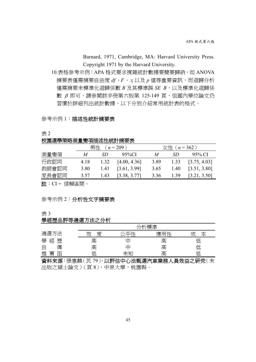Barnard, 1971, Cambridge, MA: Harvard University Press. Copyright 1971 by the Harvard University.

10.表格參考示例:APA 格式要求複雜統計數據要簡要歸納,如 ANOVA 摘要表僅需摘要自由度 *df*、*F*、η以及 *p* 值等重要資訊,而迴歸分析 僅需摘要未標準化迴歸係數 *B* 及其標準誤 *SE B*,以及標準化迴歸係 數 β 即可,請參閱該手冊第六版第 125-149 頁,但國內學位論文仍 習慣於詳細列出統計數據,以下分別介紹常用統計表的格式。

#### 參考示例 1:描述性統計摘要表

表 2

校園選舉策略測量變項描述性統計摘要表

|       | 男性<br>$(n=209)$ |      |                           | 女性 ( $n = 362$ ) |      |              |
|-------|-----------------|------|---------------------------|------------------|------|--------------|
| 測量變項  | M               | SD.  | 95%CI                     | M                | SD   | 95% CI       |
| 行政認同  | 4.18            | 1.32 | [4.00, 4.36]              | 3.89             | 1.33 | [3.75, 4.03] |
| 教師會認同 | 3.80            | 1.41 | [3.61, 3.99]              | 3.65             | 1.40 | [3.51, 3.80] |
| 家長會認同 | 3.57            | 1.43 | $\left[3.38, 3.77\right]$ | 3.36             | 1.39 | [3.21, 3.50] |

註:CI = 信賴區間。

### 參考示例 2:分析性文字摘要表

表 3

#### 學經歷品評等遴選方法之分析

|             | 「斤標進   |    |     |         |  |  |  |  |  |  |
|-------------|--------|----|-----|---------|--|--|--|--|--|--|
| 遴選方法        | 芴<br>度 | 不才 | 應用性 | ∼       |  |  |  |  |  |  |
| 學<br>經<br>歷 | 高      |    | 高   | ∠       |  |  |  |  |  |  |
| 塼           | 高      |    | 高   | ′口<br>싀 |  |  |  |  |  |  |
| 薦<br>推<br>函 |        |    | 高   | ′⊏      |  |  |  |  |  |  |

資料來源:張塞麟(民 79)。以評估中心法甄選汽車業務人員效益之研究(未 出版之碩士論文)(頁 8),中原大學,桃園縣。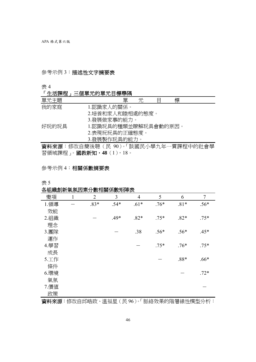# 參考示例 3:描述性文字摘要表

表 4

# 「生活課程」三個單元的單元目標舉隅

| 單元主題   | 單<br>標<br>兀                                                                                                                                                                                      |
|--------|--------------------------------------------------------------------------------------------------------------------------------------------------------------------------------------------------|
| 我的家庭   | 1.認識家人的關係。                                                                                                                                                                                       |
|        | 2.培養和家人和睦相處的熊度。                                                                                                                                                                                  |
|        | 3.發展做家事的能力。                                                                                                                                                                                      |
| 好玩的玩具  | 1.認識玩具的種類並瞭解玩具會動的原因。                                                                                                                                                                             |
|        | 2.表現玩玩具的正確熊度。                                                                                                                                                                                    |
|        | 3.發展製作玩具的能力。                                                                                                                                                                                     |
| ------ | $\mathcal{L} \rightarrow \mathcal{L}$ , and $\mathcal{L} \rightarrow \mathcal{L}$ , and a set of $\mathcal{L}$ . In the set of $\mathcal{L}$ , and $\mathcal{L} \rightarrow \mathcal{L}$<br>$-1$ |

資料來源:修改自簡後聰(民 90)。「談國民小學九年一貫課程中的社會學 習領域課程」。國教新知,**48**(1),18。

# 參考示例 4:相關係數摘要表

表 5

# 各組織創新氣氛因素分數相關係數矩陣表

| 變項    | 1 | $\overline{2}$ | 3      | $\overline{4}$ | 5      | 6      | $\overline{7}$ |
|-------|---|----------------|--------|----------------|--------|--------|----------------|
| 1.領導  |   | $.83*$         | $.54*$ | $.61*$         | $.76*$ | $.81*$ | $.56*$         |
| 效能    |   |                |        |                |        |        |                |
| 2.組織  |   |                | $.49*$ | $.82*$         | $.75*$ | $.82*$ | $.75*$         |
| 理念    |   |                |        |                |        |        |                |
| 3.團隊  |   |                |        | .38            | $.56*$ | $.56*$ | $.45*$         |
| 運作    |   |                |        |                |        |        |                |
| 4.學習  |   |                |        |                | $.75*$ | $.76*$ | $.75*$         |
| 成長    |   |                |        |                |        |        |                |
| 5.工作  |   |                |        |                |        | $.88*$ | $.66*$         |
| 條件    |   |                |        |                |        |        |                |
| 6.環境  |   |                |        |                |        |        | $.72*$         |
| 氣氛    |   |                |        |                |        |        |                |
| 7. 價值 |   |                |        |                |        |        |                |
| 政策    |   |                |        |                |        |        |                |

資料來源:修改自邱皓政、溫福星(民 96)。「脈絡效果的階層線性模型分析: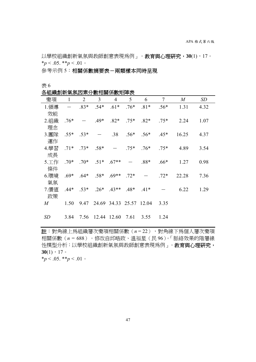以學校組織創新氣氛與教師創意表現爲例」。教育與心理研究,30(1),17。  $**p* < .05.$   $**p* < .01$ 

参考示例 5:相關係數摘要表-兩類樣本同時呈現

表 6

各組織創新氣氛因素分數相關係數矩陣表

| <b>ロ 小山小火石3小1 木バカヤヨンドノJ 女人 ロロ州 バリメントローヤンへ</b> |              |                |                  |                |                |                         |        |                  |           |
|-----------------------------------------------|--------------|----------------|------------------|----------------|----------------|-------------------------|--------|------------------|-----------|
| 變項                                            | $\mathbf{1}$ | $\overline{2}$ | 3                | 4              | 5 <sup>5</sup> | 6                       | 7      | $\boldsymbol{M}$ | <b>SD</b> |
| 1.領導                                          |              | $.83*$         | $.54*$           | $.61*$         | $.76*$         | $.81*$                  | $.56*$ | 1.31             | 4.32      |
| 效能                                            |              |                |                  |                |                |                         |        |                  |           |
| 2.組織                                          | $.76*$       |                | $.49*$           | $.82*$         | $.75*$         | $.82*$                  | $.75*$ | 2.24             | 1.07      |
| 理念                                            |              |                |                  |                |                |                         |        |                  |           |
| 3. 團隊                                         | $.55*$ .53*  |                |                  | .38            | $.56*$         | $.56*$                  | $.45*$ | 16.25            | 4.37      |
| 運作                                            |              |                |                  |                |                |                         |        |                  |           |
| 4.學習                                          |              | $.71*$ .73*    | $.58*$           |                | $.75*$         | $.76*$                  | $.75*$ | 4.89             | 3.54      |
| 成長                                            |              |                |                  |                |                |                         |        |                  |           |
| 5.工作                                          | $.70*$       | $.70*$         | $.51*$           | $.67**$        |                | $.88*$                  | $.66*$ | 1.27             | 0.98      |
| 條件                                            |              |                |                  |                |                |                         |        |                  |           |
| 6.環境                                          | $.69*$       | $.64*$         | $.58*$           | $.69**$ .72*   |                |                         | $.72*$ | 22.28            | 7.36      |
| 氣氛                                            |              |                |                  |                |                |                         |        |                  |           |
| 7. 價值                                         | $.44*$       | $.53*$         | $.26*$           | $.43**$ $.48*$ |                | $.41*$                  |        | 6.22             | 1.29      |
| 政策                                            |              |                |                  |                |                |                         |        |                  |           |
| $M_{\rm \ }$                                  | 1.50         | 9.47           |                  |                |                | 24.69 34.33 25.57 12.04 | 3.35   |                  |           |
|                                               |              |                |                  |                |                |                         |        |                  |           |
| SD                                            | 3.84         |                | 7.56 12.44 12.60 |                | 7.61           | 3.55                    | 1.24   |                  |           |

註:對角線上為組織層次變項相關係數(*n* = 22),對角線下為個人層次變項 相關係數(*n* = 688)。修改自邱皓政、溫福星(民 96)。「脈絡效果的階層線 性模型分析:以學校組織創新氣氛與教師創意表現為例」。教育與心理研究,  $30(1)$ , 17。

 $*_p$  < .05. \*\**p* < .01 。

47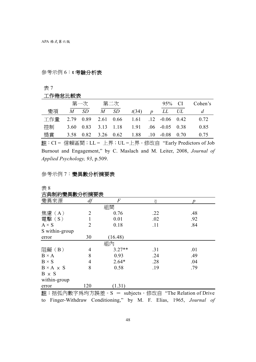# 參考示例 6:**t** 考驗分析表

表 7

## 工作倦怠比較表

|                                             | 第一次    | 第二次    |                                         |   | 95% CI        | Cohen's |
|---------------------------------------------|--------|--------|-----------------------------------------|---|---------------|---------|
| 變項                                          | $M$ SD | $M$ SD | t(34)                                   | D | $LL \quad UL$ | d       |
| 工作量 2.79 0.89 2.61 0.66 1.61 .12 -0.06 0.42 |        |        |                                         |   |               | 0.72    |
| 控制                                          |        |        | 3.60 0.83 3.13 1.18 1.91 .06 -0.05 0.38 |   |               | 0.85    |
| 獎當                                          |        |        | 3.58 0.82 3.26 0.62 1.88 .10 -0.08 0.70 |   |               | 0.75    |

註:CI = 信賴區間;LL = 上界;UL =上界。修改自 "Early Predictors of Job Burnout and Engagement," by C. Maslach and M. Leiter, 2008, *Journal of Applied Psychology, 93*, p.509.

# 參考示例 7:變異數分析摘要表

表 8

# 古典制約變異數分析摘要表

| ロデアツハメ 天女(ノ) リロリメン    |                |                |     |                  |  |
|-----------------------|----------------|----------------|-----|------------------|--|
| 變異來源                  | df             | $\overline{F}$ | η   | $\boldsymbol{p}$ |  |
|                       |                | 組間             |     |                  |  |
| 焦慮 (A)                | $\overline{2}$ | 0.76           | .22 | .48              |  |
| 電擊 (S)                |                | 0.01           | .02 | .92              |  |
| $A \times S$          | $\overline{2}$ | 0.18           | .11 | .84              |  |
| S within-group        |                |                |     |                  |  |
| error                 | 30             | (16.48)        |     |                  |  |
|                       |                | 組內             |     |                  |  |
| 阻礙 (B)                | 4              | $3.27**$       | .31 | .01              |  |
| $B \times A$          | 8              | 0.93           | .24 | .49              |  |
| $B \times S$          | 4              | $2.64*$        | .28 | .04              |  |
| $B \times A \times S$ | 8              | 0.58           | .19 | .79              |  |
| $B \times S$          |                |                |     |                  |  |
| within-group          |                |                |     |                  |  |
| error                 | 120            | (1.31)         |     |                  |  |

註:括弧內數字為均方誤差。S = subjects。修改自 "The Relation of Drive to Finger-Withdraw Conditioning," by M. F. Elias, 1965, *Journal of*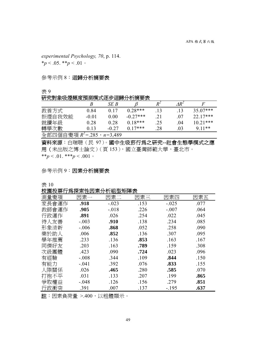*experimental Psychology, 70*, p. 114.

\**p* < .05. \*\**p* < .01。

參考示例 8:迴歸分析摘要表

表 9

## 研究對象吸煙頻度預測模式逐步迴歸分析摘要表

|                                   |         | SE B    |            | ₽   |     |            |
|-----------------------------------|---------|---------|------------|-----|-----|------------|
| 教養方式                              | 0.84    | 0.17    | $0.28***$  | .13 | .13 | $35.07***$ |
| 拒煙自我效能                            | $-0.01$ | 0.00    | $-0.27***$ | .21 | .07 | $22.17***$ |
| 就讀年級                              | 0.28    | 0.28    | $0.18***$  | .25 | .04 | $10.21***$ |
| 轉學次數                              | 0.13    | $-0.27$ | $0.17***$  | 28  | 03  | $9.11**$   |
| 全部四個自變項 $R^2 = 285$ , $n = 3,489$ |         |         |            |     |     |            |

資料來源:白瑞聰(民 97)。國中生吸菸行為之研究**--**社會生態學模式之應 用(未出版之博士論文)(頁 153),國立臺灣師範大學,臺北市。 \*\**p* < .01. \*\*\**p* < .001  $\circ$ 

# 參考示例 9:因素分析摘要表

表 10

校園投票行為探索性因素分析組型矩陣表

| <b>LYLE 1889 11-11-11-12 - 프로그램 - 프로그램 - 스포</b><br>測量變項 | 因素一     | 因素二     | 因素三  | 因素四     | 因素五  |
|---------------------------------------------------------|---------|---------|------|---------|------|
| 家長會運作                                                   | .918    | $-.023$ | .153 | $-.025$ | .077 |
| 教師會運作                                                   | .905    | $-.018$ | .226 | $-.007$ | .064 |
| 行政運作                                                    | .891    | .026    | .254 | .022    | .045 |
| 待人友善                                                    | $-.003$ | .910    | .138 | .234    | .085 |
| 形象清新                                                    | $-.006$ | .868    | .052 | .258    | .090 |
| 樂於助人                                                    | .006    | .852    | .136 | .307    | .095 |
| 學年推薦                                                    | .233    | .136    | .853 | .163    | .167 |
| 同儕好友                                                    | .203    | .163    | .789 | .159    | .308 |
| 次級團體                                                    | .423    | .090    | .724 | .023    | .096 |
| 有經驗                                                     | $-.008$ | .344    | .109 | .844    | .150 |
| 有能力                                                     | $-.041$ | .392    | .076 | .833    | .155 |
| 人際關係                                                    | .026    | .465    | .280 | .585    | .070 |
| 打抱不平                                                    | .031    | .133    | .207 | .199    | .865 |
| 爭取權益                                                    | $-.048$ | .126    | .156 | .279    | .851 |
| 行政衝突                                                    | .391    | .007    | .137 | $-.195$ | .637 |

註:因素負荷量 >.400,以粗體顯示。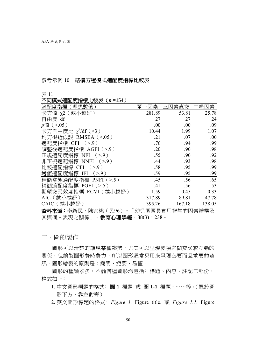#### 參考示例 10:結構方程模式適配度指標比較表

#### 表 11

#### 不同模式適配度指標比較表(*n* **=154**)

| 適配度指標<br>〔理想數         | 單<br>素 | '素直交   | 因素     |
|-----------------------|--------|--------|--------|
| 卡方値 χ2(越小越好)          | 281.89 | 53.81  | 25.78  |
| 自由度 df                | 27     | 27     | 24     |
| $p$ 値 (>.05)          | .00    | .00    | .09    |
| 卡方自由度比 $χ²/df ( <3 )$ | 10.44  | 1.99   | 1.07   |
| 均方根近似誤 RMSEA (<.05)   | .21    | .07    | .00    |
| 適配度指標 GFI (>.9)       | .76    | .94    | .99    |
| 調整後適配度指標 AGFI (>.9)   | .20    | .90    | .98    |
| 正規適配度指標 NFI (>.9)     | .55    | .90    | .92    |
| 非正規適配指標 NNFI (>.9)    | .44    | .93    | .98    |
| 比較適配指標 CFI (>.9)      | .58    | .95    | .99    |
| 增值適配度指標 IFI (>.9)     | .59    | .95    | .99    |
| 精簡常熊適配度指標 PNFI (>.5)  | .45    | .56    | .65    |
| 精簡適配度指標 PGFI (>.5)    | .41    | .56    | .53    |
| 期望交叉效度指標 ECVI (越小越好)  | 1.59   | 0.45   | 0.33   |
| AIC(越小越好)             | 317.89 | 89.81  | 47.78  |
| CAIC(越小越好)            | 395.26 | 167.18 | 138.05 |

資料來源:李新民、陳密桃(民96)。「幼兒園園長實用智慧的因素結構及 其與個人表現之關係」。教育心理學報,38(3),238。

二、圖的製作

圖形可以清楚的顯現某種趨勢,尤其可以呈現變項之間交叉或互動的 關係,但繪製圖形費時費力,所以圖形通常只用來呈現必要而且重要的資 訊。圖形繪製的原則是:簡明、扼要、易懂。

圖形的種類眾多,不論何種圖形均包括:標題、內容、註記三部份, 格式如下:

- 1. 中文圖形標題的格式﹕圖 **1** 標題 或 圖 **1-1** 標題,⋯⋯等。(置於圖 形下方,靠左對齊)。
- 2. 英文圖形標題的格式﹕*Figure 1.* Figure title. 或 *Figure 1.1.* Figure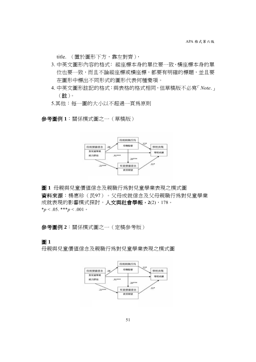title. (置於圖形下方, 靠左對齊),

- 3. 中英文圖形內容的格式: 縱座標本身的單位要一致、橫座標本身的單 位也要一致,而且不論縱座標或橫座標,都要有明確的標題,並且要 在圖形中標出不同形式的圖形代表何種變項。
- 4. 中英文圖形註記的格式:與表格的格式相同,但草稿版不必寫「*Note*.」 (註)。
- 5.其他:每一圖的大小以不超過一頁為原則

參考圖例 **1**:關係模式圖之一(草稿版)



資料來源:楊惠珍(民97)。父母成就信念及父母親職行為對兒童學業 成就表現的影響模式探討。人文與社會學報,**2**(2),178。  $*_p$  < .05. \*\*\**p* < .001 · 圖 **1** 母親與兒童價值信念及親職行為對兒童學業表現之模式圖

參考圖例 **2**:關係模式圖之一(定稿參考版)

圖 **1**

母親與兒童價值信念及親職行為對兒童學業表現之模式圖

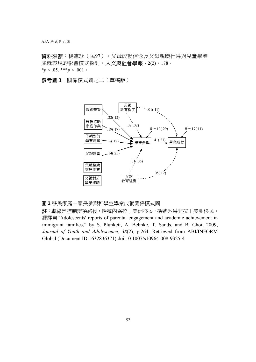APA 格式第六版

資料來源:楊惠珍(民97)。父母成就信念及父母親職行為對兒童學業 成就表現的影響模式探討。人文與社會學報,**2**(2),178。  $*_{p}$  < .05. \*\*\**p* < .001 ·

參考圖 **3**:關係模式圖之二(草稿版)



圖 **2** 移民家庭中家長參與和學生學業成就關係模式圖

註:虛線是控制變項路徑,括號內為拉丁美洲移民,括號外為非拉丁美洲移民。 翻譯自"Adolescents' reports of parental engagement and academic achievement in immigrant families," by S. Plunkett, A. Behnke, T. Sands, and B. Choi, 2009, *Journal of Youth and Adolescence, 38*(2), p.264. Retrieved from ABI/INFORM Global (Document ID:1632836371) doi:10.1007/s10964-008-9325-4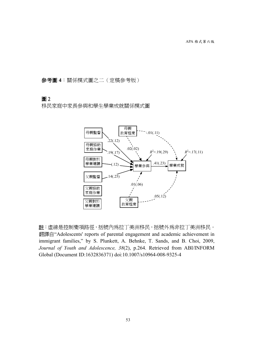參考圖 **4**:關係模式圖之二(定稿參考版)

## 圖 2

移民家庭中家長參與和學生學業成就關係模式圖



註:虛線是控制變項路徑,括號內為拉丁美洲移民,括號外為非拉丁美洲移民。 翻譯自"Adolescents' reports of parental engagement and academic achievement in immigrant families," by S. Plunkett, A. Behnke, T. Sands, and B. Choi, 2009, *Journal of Youth and Adolescence, 38*(2), p.264. Retrieved from ABI/INFORM Global (Document ID:1632836371) doi:10.1007/s10964-008-9325-4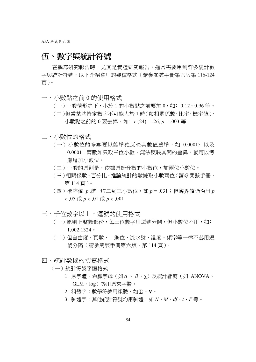# 伍、數字與統計符號

在撰寫研究報告時,尤其是實證研究報告,通常需要用到許多統計數 字與統計符號,以下介紹常用的幾種格式(請參閱該手冊第六版第 116-124 頁)。

- 一、小數點之前 0 的使用格式
	- $(-)$ 一般情形之下,小於 1 的小數點之前要加 0,如: 0.12、0.96 等。 (二)但當某些特定數字不可能大於 1 時(如相關係數、比率、機率值), 小數點之前的 0 要去掉, 如: r(24) = .26, p = .003 等。
- 二、小數位的格式
	- (一)小數位的多寡要以能準確反映其數值為準,如 0.00015 以及 0.00011 兩數如只取三位小數,無法反映其間的差異,就可以考 慮增加小數位。
	- (二)一般的原則是,依據原始分數的小數位,加兩位小數位。
	- (三)相關係數、百分比、推論統計的數據取小數兩位(請參閱該手冊, 第 114 頁)。
	- (四)機率值 *p* 統一取二到三小數位,如 *p* = .031;但臨界值仍沿用 *p* < .05 或 *p* < .01 或 *p* < .001
- 三、千位數字以上,逗號的使用格式
	- (一)原則上整數部份,每三位數字用逗號分開,但小數位不用,如: 1,002.1324。
	- (二)但自由度、頁數、二進位、流水號、溫度、頻率等一律不必用逗 號分隔 (請參閱該手冊第六版,第 114 頁)。
- 四、統計數據的撰寫格式
	- (一)統計符號字體格式
		- 1. 原字體:希臘字母(如α、β、χ)及統計縮寫(如 ANOVA、 GLM、log)等用原來字體。
		- 2. 粗體字:數學符號用粗體,如Σ、**V**。
		- 3. 斜體字:其他統計符號均用斜體,如 *N*、*M*、*df*、*t*、*F* 等。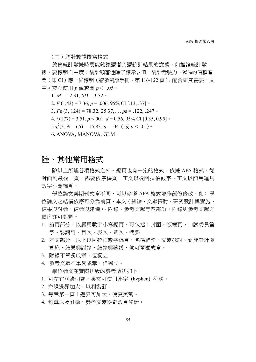(二)統計數據撰寫格式

敘寫統計數據時要能夠讓讀者判讀統計結果的意義,如推論統計數 據,要標明自由度;統計顯著性除了標示 *p* 値,統計考驗力、95%的信賴區 間 (即 CI) 應一併標明 (請參閱該手冊,第 116-122 頁);配合研究需要,文 中可交互使用 *p* 值或寫 *p*< .05。

1.  $M = 12.31$ ,  $SD = 3.52$ 

2. *F* (1,43) = 7.36, *p* = .006, 95% CI [.13, .37]。

3. *F*s (3, 124) = 78.32, 25.37,…, *p*s = .122, .247。

4. *t* (177) = 3.51, *p* <.001, *d* = 0.56, 95% CI [0.35, 0.95]。

5. $\chi^2(3, N = 65) = 15.83, p = .04$  (  $\overline{\text{g}}\overline{\text{g}}$  *p* < .05)  $\circ$ 

6. ANOVA, MANOVA, GLM。

# 陸、其他常用格式

除以上所述各項格式之外,編頁也有一定的格式。依據 APA 格式,從 封面到最後一頁,都要依序編頁,正文以後阿拉伯數字、正文以前用羅馬 數字小寫編頁。

學位論文與期刊文章不同,可以參考 APA 格式並作部份修改,如:學 位論文之結構依序可分為前頁、本文(緒論、文獻探討、研究設計與實施、 結果與討論、結論與建議)、附錄、參考文獻等四部份,附錄與參考文獻之 順序亦可對調。

- 1. 前頁部分:以羅馬數字小寫編頁,可包括:封面、版權頁、口試委員簽 字、誌謝詞、目次、表次、圖次、摘要
- 2. 本文部分:以下以阿拉伯數字編頁,包括緒論、文獻探討、研究設計與 實施、結果與討論、結論與建議,均可單獨成章。
- 3. 附錄不單獨成章,但獨立。
- 4. 參考文獻不單獨成章,但獨立。

學位論文在實際排版的參考做法如下:

- 1. 可左右兩邊切齊,英文可使用連字 (hyphen) 符號。
- 2. 左邊邊界加大,以利裝訂。
- 3. 每章第一頁上邊界可加大,使更美觀。
- 4. 每章以及附錄、參考文獻從奇數頁開始。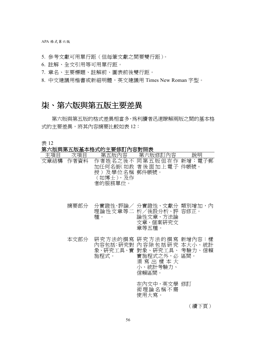APA 格式第六版

- 5. 參考文獻可用單行距(但每筆文獻之間要雙行距)。
- 6. 註解、全文引用等可用單行距。
- 7. 章名、主要標題、註解前、圖表前後雙行距。
- 8. 中文建議用楷書或新細明體,英文建議用 Times New Roman 字型。

# 柒、第六版與第五版主要差異

 第六版與第五版的格式差異相當多,為利讀者迅速瞭解兩版之間的基本格 式的主要差異,將其內容摘要比較如表 12:

表 12

# 第六版與第五版基本格式的主要修訂內容對照表

| 主項目 | 次項目       |                                       | 第五版內容    第六版修訂內容                                                                                                             | 說明 |
|-----|-----------|---------------------------------------|------------------------------------------------------------------------------------------------------------------------------|----|
|     | 文章結構 作者資料 | 授 )及學位名稱 郵件帳號。<br>(如博士),及作<br>者的服務單位。 | 作者姓名之後不 同第五版但在作 新增:電子郵<br>加任何名銜(如教 者後面加上電子 件帳號。                                                                              |    |
|     | 摘要部分      | 種。                                    | 分實證性、評論/ 分實證性、文獻分 類別增加,內<br>理論性文章等二 析/後設分析、評 容修正。<br>論性文章、方法論<br>文章、個案研究文<br>章等五種。                                           |    |
|     | 本文部分      | 施程式。                                  | 研究方法的撰寫 研究方法的撰寫 新增內容:樣<br>內容包括:研究對 內容除包括研究 本大小、統計<br>象、研究工具、實 對象、研究工具、 考驗力、信賴<br>實施程式之外,必 區間。<br>須寫出樣本大<br>小、統計考驗力、<br>信賴區間。 |    |
|     |           |                                       | 在內文中,英文學 修訂<br>術理論名稱不需<br>使用大寫。                                                                                              |    |

(續下頁)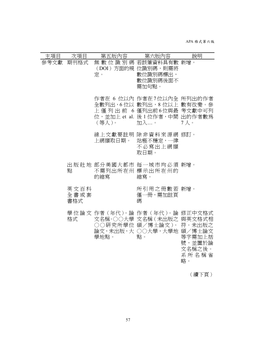APA 格式第六版

| 主項目       | 次項目                 | 第五版內容   | 第六版內容                                                                                                                           | 說明                                        |
|-----------|---------------------|---------|---------------------------------------------------------------------------------------------------------------------------------|-------------------------------------------|
| 參考文獻 期刊格式 |                     | 定。      | 無 數 位 識 別 碼 若該筆資料具有數 新增。<br>(DOI) 方面的規 位識別碼,則需將<br>數位識別碼標出,<br>數位識別碼後面不<br>需加句點。                                                |                                           |
|           |                     | (等人)。   | 作者在 6 位以內 作者在7位以內全 所列出的作者<br>全數列出,6位以 數列出,8位以上 數有改變。參<br>上 僅 列 出 前 6 僅列出前6位與最 考文獻中可列<br>位,並加上 et al. 後 1 位作者,中間 出的作者數為<br>加入。   | 7人。                                       |
|           |                     | 上網擷取日期。 | 線上文獻要註明 除非資料來源網 修訂。<br>站極不穩定,一律<br>不必寫出上網擷<br>取日期。                                                                              |                                           |
|           | 點                   | 的縮寫     | 出版社地 部分美國大都市 每一城市均必須 新增。<br>不需列出所在州 標示出所在州的<br>縮寫。                                                                              |                                           |
|           | 英文百科<br>全書或套<br>書格式 |         | 所引用之冊數若 新增。<br>僅一冊,需加註頁<br>碼                                                                                                    |                                           |
|           | 格式                  | 學地點。    | 學 位 論 文 作者 ( 年代 )。論 作者 ( 年代 )。論 修正中文格式<br>文名稱·○○大學 文名稱(未出版之 與英文格式相<br>○○研究所學位 碩/博士論文)。 符。未出版之<br>論文,未出版,大 ○○大學,大學地 碩/博士論文<br>點。 | 等字需加上括<br>號,並置於論<br>文名稱之後。<br>系所名稱省<br>略。 |
|           |                     |         |                                                                                                                                 | (續下頁)                                     |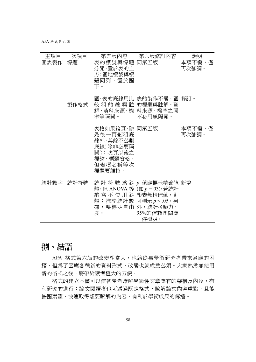APA 格式第六版

| 主項目  | 次項目       |                                                                                                | 第五版內容 第六版修訂內容                                                                                                                                   | 說明              |
|------|-----------|------------------------------------------------------------------------------------------------|-------------------------------------------------------------------------------------------------------------------------------------------------|-----------------|
| 圖表製作 | 標題        | 表的標號與標題 同第五版<br>分開,置於表的上<br>方;圖地標號與標<br>題同列,置於圖<br>下。                                          |                                                                                                                                                 | 本項不變,僅<br>再次強調。 |
|      | 製作格式      | 率等隔開。    不必用線隔開。                                                                               | 圖、表的底線用比 表的製作不變,圖 修訂。<br>較 粗 的 線 與 註 的標題與註解、資<br>解、資料來源、機 料來源、機率之間                                                                              |                 |
|      |           | 表格如果跨頁,除 同第五版。<br>最後一頁劃粗底<br>線外,其餘不必劃<br>底線(除非必要隔<br>開);次頁以後之<br>標號、標題省略,<br>但變項名稱等次<br>標題要維持。 |                                                                                                                                                 | 本項不變,僅<br>再次強調。 |
|      | 統計數字 統計符號 | 度。                                                                                             | 統 計 符 號 爲 斜 $p$ 値應標示精確値 新增<br>體, 但 ANOVA 等 (如 p =.03), 若統計<br>縮寫不使用斜報表無精確値,則<br>體;推論統計數 可標示 p < .05。另<br>據,要標明自由 外,統計考驗力、<br>95%的信賴區間應<br>一倂標明。 |                 |

# 捌、結語

APA 格式第六版的改變相當大,也給從事學術研究者帶來適應的困 擾,但為了因應各種新的資料形式,改變也就成為必須。大家熟悉並使用 新的格式之後,將帶給讀者極大的方便。

格式的建立不僅可以使初學者瞭解學術性文章應有的架構及內涵,有 利研究的進行;論文閱讀者也可透過既定格式,瞭解論文內容重點,且能 按圖索驥,快速取得想要瞭解的內容,有利於學術成果的傳播。